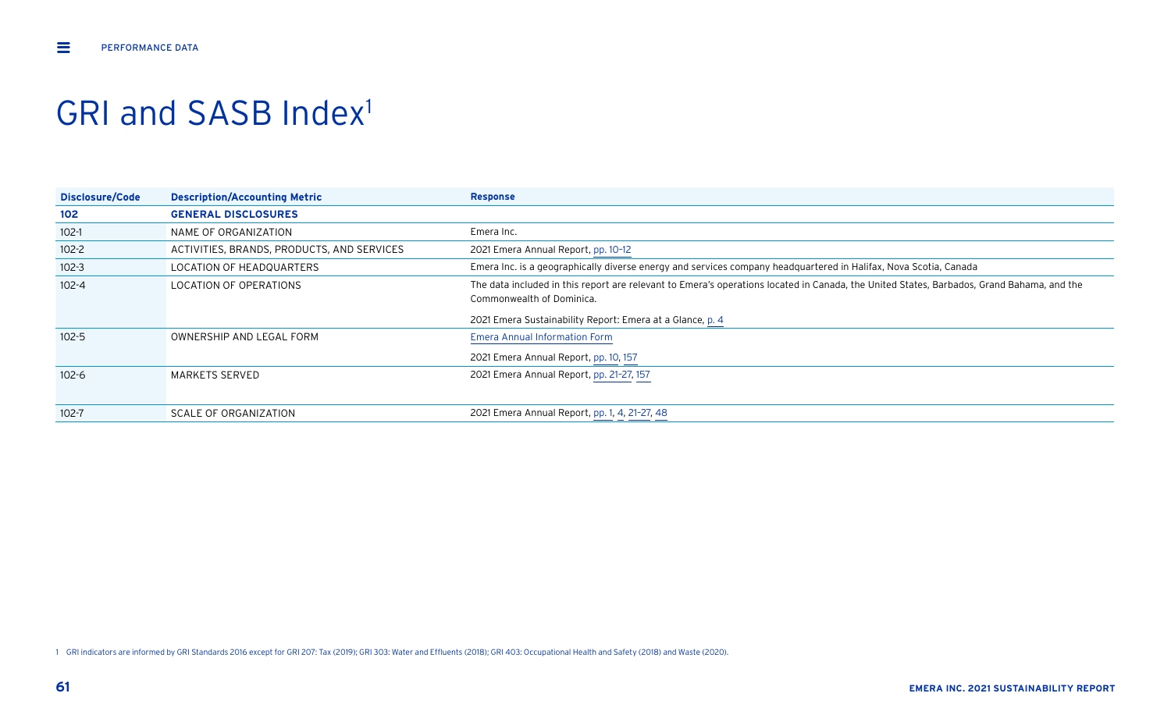## GRI and SASB Index<sup>1</sup>

| Disclosure/Code | <b>Description/Accounting Metric</b>       | <b>Response</b>                                                                                                                                                        |
|-----------------|--------------------------------------------|------------------------------------------------------------------------------------------------------------------------------------------------------------------------|
| 102             | <b>GENERAL DISCLOSURES</b>                 |                                                                                                                                                                        |
| $102-1$         | NAME OF ORGANIZATION                       | Emera Inc.                                                                                                                                                             |
| $102 - 2$       | ACTIVITIES, BRANDS, PRODUCTS, AND SERVICES | 2021 Emera Annual Report, pp. 10-12                                                                                                                                    |
| $102 - 3$       | LOCATION OF HEADQUARTERS                   | Emera Inc. is a geographically diverse energy and services company headquartered in Halifax, Nova Scotia, Canada                                                       |
| $102 - 4$       | <b>LOCATION OF OPERATIONS</b>              | The data included in this report are relevant to Emera's operations located in Canada, the United States, Barbados, Grand Bahama, and the<br>Commonwealth of Dominica. |
|                 |                                            | 2021 Emera Sustainability Report: Emera at a Glance, p. 4                                                                                                              |
| $102 - 5$       | OWNERSHIP AND LEGAL FORM                   | <b>Emera Annual Information Form</b><br>2021 Emera Annual Report, pp. 10, 157                                                                                          |
| $102 - 6$       | MARKETS SERVED                             | 2021 Emera Annual Report, pp. 21-27, 157                                                                                                                               |
| $102 - 7$       | SCALE OF ORGANIZATION                      | 2021 Emera Annual Report, pp. 1, 4, 21-27, 48                                                                                                                          |

1 GRI indicators are informed by GRI Standards 2016 except for GRI 207: Tax (2019); GRI 303: Water and Effluents (2018); GRI 403: Occupational Health and Safety (2018) and Waste (2020).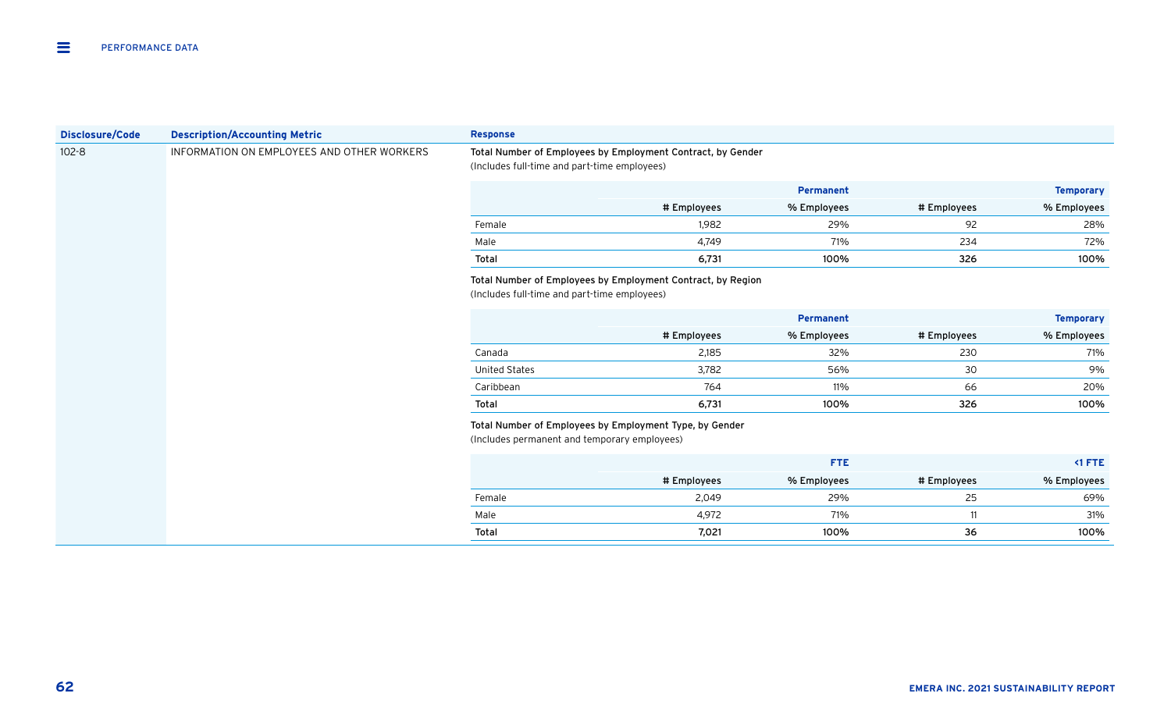| <b>Disclosure/Code</b> | <b>Description/Accounting Metric</b>       | <b>Response</b>                              |                                                                                                             |             |             |                  |
|------------------------|--------------------------------------------|----------------------------------------------|-------------------------------------------------------------------------------------------------------------|-------------|-------------|------------------|
| $102 - 8$              | INFORMATION ON EMPLOYEES AND OTHER WORKERS | (Includes full-time and part-time employees) | Total Number of Employees by Employment Contract, by Gender                                                 |             |             |                  |
|                        |                                            |                                              |                                                                                                             | Permanent   |             | <b>Temporary</b> |
|                        |                                            |                                              | # Employees                                                                                                 | % Employees | # Employees | % Employees      |
|                        |                                            | Female                                       | 1,982                                                                                                       | 29%         | 92          | 28%              |
|                        |                                            | Male                                         | 4,749                                                                                                       | 71%         | 234         | 72%              |
|                        |                                            | Total                                        | 6,731                                                                                                       | 100%        | 326         | 100%             |
|                        |                                            |                                              | Total Number of Employees by Employment Contract, by Region<br>(Includes full-time and part-time employees) |             |             |                  |
|                        |                                            |                                              |                                                                                                             | Permanent   |             | <b>Temporary</b> |
|                        |                                            |                                              | # Employees                                                                                                 | % Employees | # Employees | % Employees      |
|                        |                                            | Canada                                       | 2,185                                                                                                       | 32%         | 230         | 71%              |
|                        |                                            | <b>United States</b>                         | 3,782                                                                                                       | 56%         | 30          | 9%               |
|                        |                                            | Caribbean                                    | 764                                                                                                         | 11%         | 66          | 20%              |
|                        |                                            | Total                                        | 6,731                                                                                                       | 100%        | 326         | 100%             |
|                        |                                            | (Includes permanent and temporary employees) | Total Number of Employees by Employment Type, by Gender                                                     |             |             |                  |
|                        |                                            |                                              |                                                                                                             | <b>FTE</b>  |             | <1 FTE           |
|                        |                                            |                                              | # Employees                                                                                                 | % Employees | # Employees | % Employees      |
|                        |                                            | Female                                       | 2,049                                                                                                       | 29%         | 25          | 69%              |
|                        |                                            | Male                                         | 4,972                                                                                                       | 71%         | 11          | 31%              |
|                        |                                            | Total                                        | 7,021                                                                                                       | 100%        | 36          | 100%             |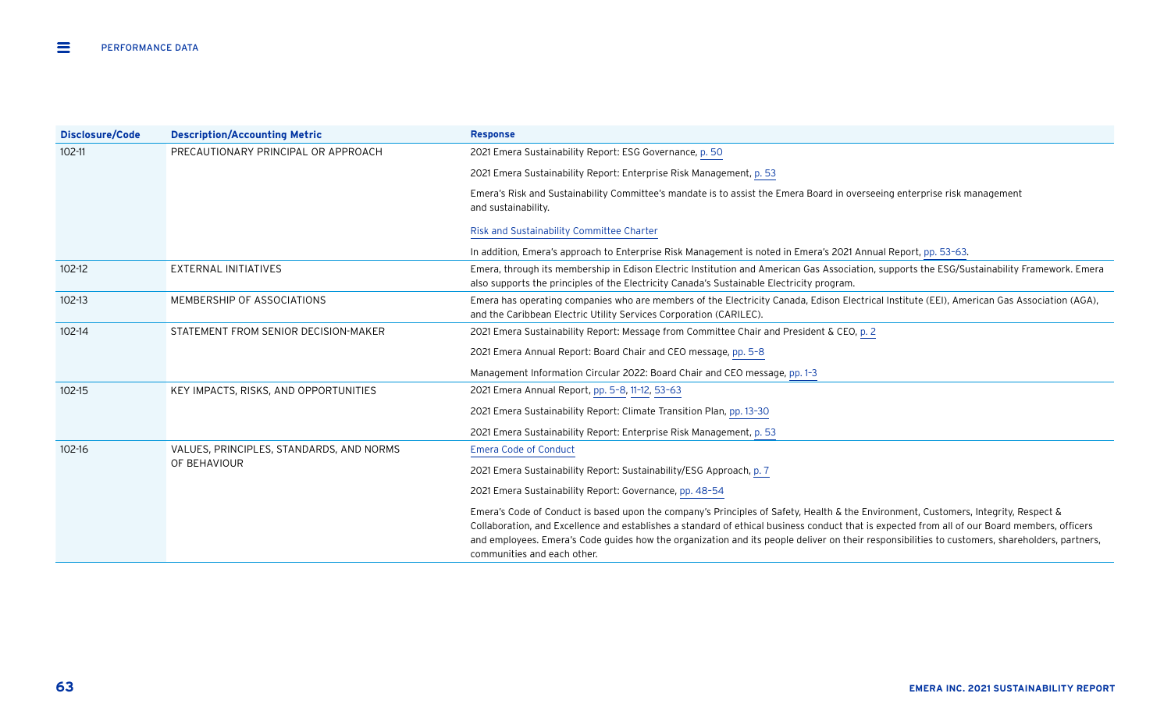| Disclosure/Code | <b>Description/Accounting Metric</b>     | <b>Response</b>                                                                                                                                                                                                                                                                                                                                                                                                                                                       |
|-----------------|------------------------------------------|-----------------------------------------------------------------------------------------------------------------------------------------------------------------------------------------------------------------------------------------------------------------------------------------------------------------------------------------------------------------------------------------------------------------------------------------------------------------------|
| $102 - 11$      | PRECAUTIONARY PRINCIPAL OR APPROACH      | 2021 Emera Sustainability Report: ESG Governance, p. 50                                                                                                                                                                                                                                                                                                                                                                                                               |
|                 |                                          | 2021 Emera Sustainability Report: Enterprise Risk Management, p. 53                                                                                                                                                                                                                                                                                                                                                                                                   |
|                 |                                          | Emera's Risk and Sustainability Committee's mandate is to assist the Emera Board in overseeing enterprise risk management<br>and sustainability.                                                                                                                                                                                                                                                                                                                      |
|                 |                                          | Risk and Sustainability Committee Charter                                                                                                                                                                                                                                                                                                                                                                                                                             |
|                 |                                          | In addition, Emera's approach to Enterprise Risk Management is noted in Emera's 2021 Annual Report, pp. 53-63.                                                                                                                                                                                                                                                                                                                                                        |
| $102 - 12$      | <b>EXTERNAL INITIATIVES</b>              | Emera, through its membership in Edison Electric Institution and American Gas Association, supports the ESG/Sustainability Framework. Emera<br>also supports the principles of the Electricity Canada's Sustainable Electricity program.                                                                                                                                                                                                                              |
| $102 - 13$      | MEMBERSHIP OF ASSOCIATIONS               | Emera has operating companies who are members of the Electricity Canada, Edison Electrical Institute (EEI), American Gas Association (AGA),<br>and the Caribbean Electric Utility Services Corporation (CARILEC).                                                                                                                                                                                                                                                     |
| $102 - 14$      | STATEMENT FROM SENIOR DECISION-MAKER     | 2021 Emera Sustainability Report: Message from Committee Chair and President & CEO, p. 2                                                                                                                                                                                                                                                                                                                                                                              |
|                 |                                          | 2021 Emera Annual Report: Board Chair and CEO message, pp. 5-8                                                                                                                                                                                                                                                                                                                                                                                                        |
|                 |                                          | Management Information Circular 2022: Board Chair and CEO message, pp. 1-3                                                                                                                                                                                                                                                                                                                                                                                            |
| $102 - 15$      | KEY IMPACTS, RISKS, AND OPPORTUNITIES    | 2021 Emera Annual Report, pp. 5-8, 11-12, 53-63                                                                                                                                                                                                                                                                                                                                                                                                                       |
|                 |                                          | 2021 Emera Sustainability Report: Climate Transition Plan, pp. 13-30                                                                                                                                                                                                                                                                                                                                                                                                  |
|                 |                                          | 2021 Emera Sustainability Report: Enterprise Risk Management, p. 53                                                                                                                                                                                                                                                                                                                                                                                                   |
| $102 - 16$      | VALUES, PRINCIPLES, STANDARDS, AND NORMS | <b>Emera Code of Conduct</b>                                                                                                                                                                                                                                                                                                                                                                                                                                          |
|                 | OF BEHAVIOUR                             | 2021 Emera Sustainability Report: Sustainability/ESG Approach, p. 7                                                                                                                                                                                                                                                                                                                                                                                                   |
|                 |                                          | 2021 Emera Sustainability Report: Governance, pp. 48-54                                                                                                                                                                                                                                                                                                                                                                                                               |
|                 |                                          | Emera's Code of Conduct is based upon the company's Principles of Safety, Health & the Environment, Customers, Integrity, Respect &<br>Collaboration, and Excellence and establishes a standard of ethical business conduct that is expected from all of our Board members, officers<br>and employees. Emera's Code quides how the organization and its people deliver on their responsibilities to customers, shareholders, partners,<br>communities and each other. |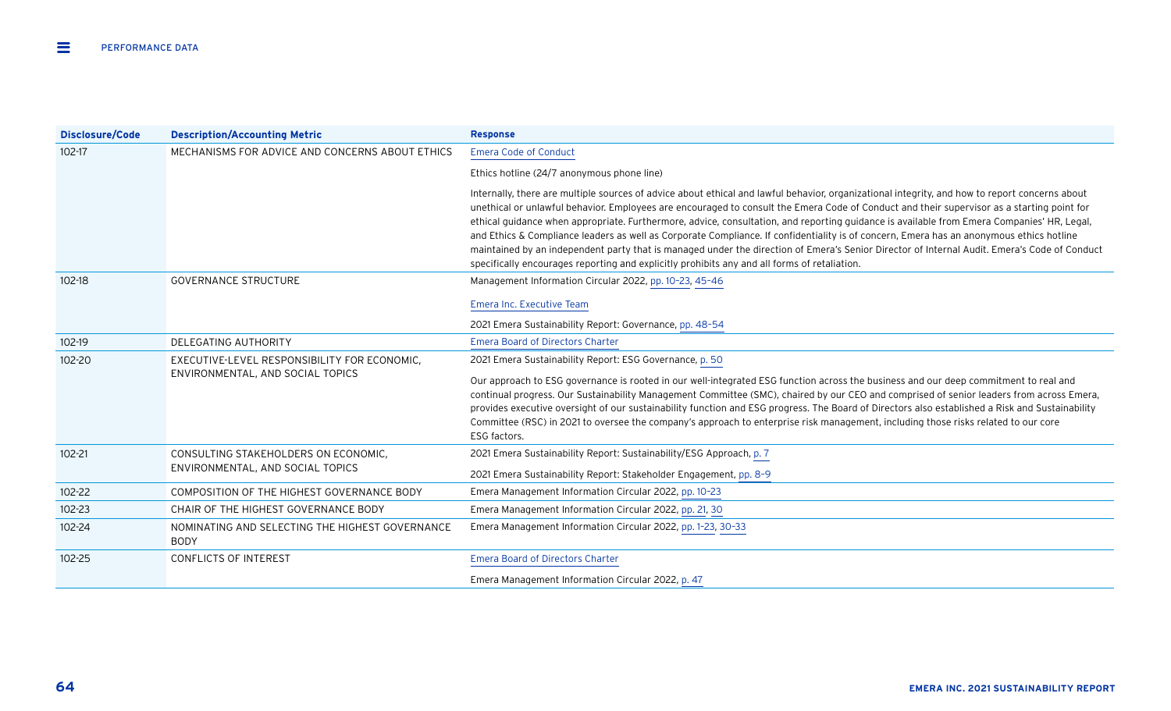| <b>Disclosure/Code</b> | <b>Description/Accounting Metric</b>                                     | <b>Response</b>                                                                                                                                                                                                                                                                                                                                                                                                                                                                                                                                                                                                                                                                                                                                                                                                                        |
|------------------------|--------------------------------------------------------------------------|----------------------------------------------------------------------------------------------------------------------------------------------------------------------------------------------------------------------------------------------------------------------------------------------------------------------------------------------------------------------------------------------------------------------------------------------------------------------------------------------------------------------------------------------------------------------------------------------------------------------------------------------------------------------------------------------------------------------------------------------------------------------------------------------------------------------------------------|
| $102 - 17$             | MECHANISMS FOR ADVICE AND CONCERNS ABOUT ETHICS                          | <b>Emera Code of Conduct</b>                                                                                                                                                                                                                                                                                                                                                                                                                                                                                                                                                                                                                                                                                                                                                                                                           |
|                        |                                                                          | Ethics hotline (24/7 anonymous phone line)                                                                                                                                                                                                                                                                                                                                                                                                                                                                                                                                                                                                                                                                                                                                                                                             |
|                        |                                                                          | Internally, there are multiple sources of advice about ethical and lawful behavior, organizational integrity, and how to report concerns about<br>unethical or unlawful behavior. Employees are encouraged to consult the Emera Code of Conduct and their supervisor as a starting point for<br>ethical guidance when appropriate. Furthermore, advice, consultation, and reporting guidance is available from Emera Companies' HR, Legal,<br>and Ethics & Compliance leaders as well as Corporate Compliance. If confidentiality is of concern, Emera has an anonymous ethics hotline<br>maintained by an independent party that is managed under the direction of Emera's Senior Director of Internal Audit. Emera's Code of Conduct<br>specifically encourages reporting and explicitly prohibits any and all forms of retaliation. |
| $102 - 18$             | <b>GOVERNANCE STRUCTURE</b>                                              | Management Information Circular 2022, pp. 10-23, 45-46                                                                                                                                                                                                                                                                                                                                                                                                                                                                                                                                                                                                                                                                                                                                                                                 |
|                        |                                                                          | Emera Inc. Executive Team                                                                                                                                                                                                                                                                                                                                                                                                                                                                                                                                                                                                                                                                                                                                                                                                              |
|                        |                                                                          | 2021 Emera Sustainability Report: Governance, pp. 48-54                                                                                                                                                                                                                                                                                                                                                                                                                                                                                                                                                                                                                                                                                                                                                                                |
| 102-19                 | DELEGATING AUTHORITY                                                     | <b>Emera Board of Directors Charter</b>                                                                                                                                                                                                                                                                                                                                                                                                                                                                                                                                                                                                                                                                                                                                                                                                |
| 102-20                 | EXECUTIVE-LEVEL RESPONSIBILITY FOR ECONOMIC.                             | 2021 Emera Sustainability Report: ESG Governance, p. 50                                                                                                                                                                                                                                                                                                                                                                                                                                                                                                                                                                                                                                                                                                                                                                                |
|                        | ENVIRONMENTAL, AND SOCIAL TOPICS                                         | Our approach to ESG governance is rooted in our well-integrated ESG function across the business and our deep commitment to real and<br>continual progress. Our Sustainability Management Committee (SMC), chaired by our CEO and comprised of senior leaders from across Emera,<br>provides executive oversight of our sustainability function and ESG progress. The Board of Directors also established a Risk and Sustainability<br>Committee (RSC) in 2021 to oversee the company's approach to enterprise risk management, including those risks related to our core<br>ESG factors.                                                                                                                                                                                                                                              |
| 102-21                 | CONSULTING STAKEHOLDERS ON ECONOMIC,<br>ENVIRONMENTAL, AND SOCIAL TOPICS | 2021 Emera Sustainability Report: Sustainability/ESG Approach, p. 7<br>2021 Emera Sustainability Report: Stakeholder Engagement, pp. 8-9                                                                                                                                                                                                                                                                                                                                                                                                                                                                                                                                                                                                                                                                                               |
| 102-22                 | COMPOSITION OF THE HIGHEST GOVERNANCE BODY                               | Emera Management Information Circular 2022, pp. 10-23                                                                                                                                                                                                                                                                                                                                                                                                                                                                                                                                                                                                                                                                                                                                                                                  |
| 102-23                 | CHAIR OF THE HIGHEST GOVERNANCE BODY                                     | Emera Management Information Circular 2022, pp. 21, 30                                                                                                                                                                                                                                                                                                                                                                                                                                                                                                                                                                                                                                                                                                                                                                                 |
| 102-24                 | NOMINATING AND SELECTING THE HIGHEST GOVERNANCE<br><b>BODY</b>           | Emera Management Information Circular 2022, pp. 1-23, 30-33                                                                                                                                                                                                                                                                                                                                                                                                                                                                                                                                                                                                                                                                                                                                                                            |
| 102-25                 | <b>CONFLICTS OF INTEREST</b>                                             | <b>Emera Board of Directors Charter</b>                                                                                                                                                                                                                                                                                                                                                                                                                                                                                                                                                                                                                                                                                                                                                                                                |
|                        |                                                                          | Emera Management Information Circular 2022, p. 47                                                                                                                                                                                                                                                                                                                                                                                                                                                                                                                                                                                                                                                                                                                                                                                      |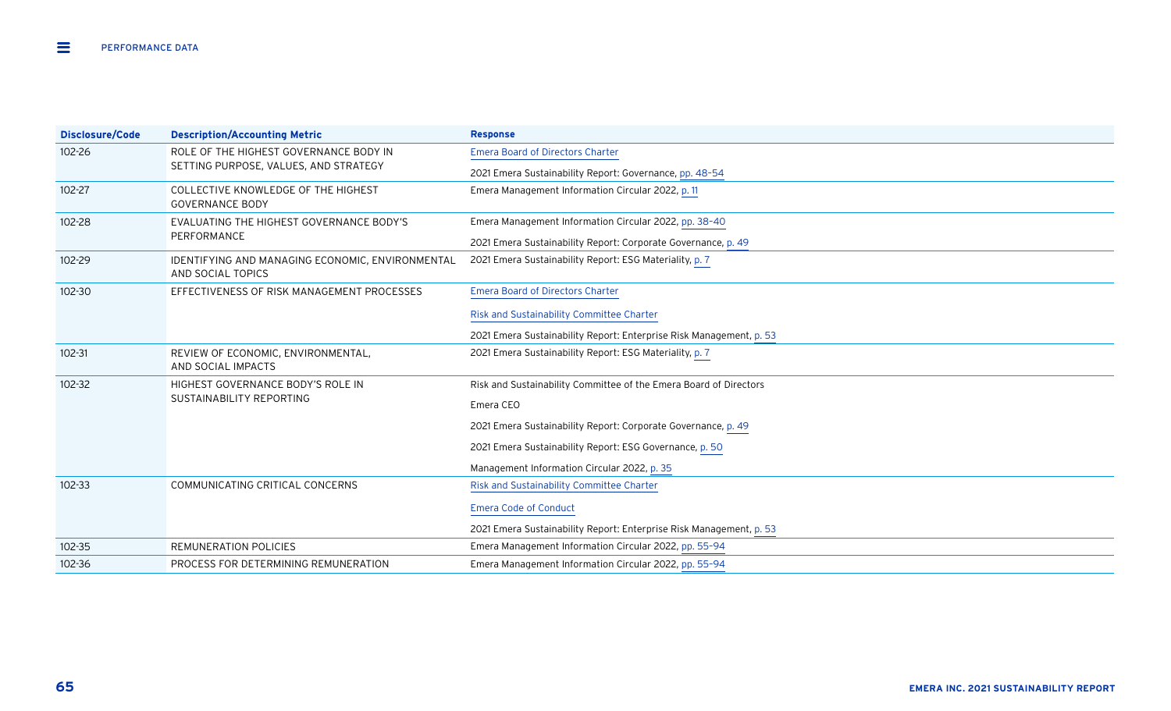| Disclosure/Code | <b>Description/Accounting Metric</b>                                            | <b>Response</b>                                                     |
|-----------------|---------------------------------------------------------------------------------|---------------------------------------------------------------------|
| 102-26          | ROLE OF THE HIGHEST GOVERNANCE BODY IN<br>SETTING PURPOSE, VALUES, AND STRATEGY | <b>Emera Board of Directors Charter</b>                             |
|                 |                                                                                 | 2021 Emera Sustainability Report: Governance, pp. 48-54             |
| 102-27          | COLLECTIVE KNOWLEDGE OF THE HIGHEST<br><b>GOVERNANCE BODY</b>                   | Emera Management Information Circular 2022, p. 11                   |
| 102-28          | EVALUATING THE HIGHEST GOVERNANCE BODY'S                                        | Emera Management Information Circular 2022, pp. 38-40               |
|                 | PERFORMANCE                                                                     | 2021 Emera Sustainability Report: Corporate Governance, p. 49       |
| 102-29          | IDENTIFYING AND MANAGING ECONOMIC, ENVIRONMENTAL<br>AND SOCIAL TOPICS           | 2021 Emera Sustainability Report: ESG Materiality, p. 7             |
| 102-30          | EFFECTIVENESS OF RISK MANAGEMENT PROCESSES                                      | <b>Emera Board of Directors Charter</b>                             |
|                 |                                                                                 | Risk and Sustainability Committee Charter                           |
|                 |                                                                                 | 2021 Emera Sustainability Report: Enterprise Risk Management, p. 53 |
| $102 - 31$      | REVIEW OF ECONOMIC, ENVIRONMENTAL,<br>AND SOCIAL IMPACTS                        | 2021 Emera Sustainability Report: ESG Materiality, p. 7             |
| $102 - 32$      | HIGHEST GOVERNANCE BODY'S ROLE IN<br>SUSTAINABILITY REPORTING                   | Risk and Sustainability Committee of the Emera Board of Directors   |
|                 |                                                                                 | Emera CEO                                                           |
|                 |                                                                                 | 2021 Emera Sustainability Report: Corporate Governance, p. 49       |
|                 |                                                                                 | 2021 Emera Sustainability Report: ESG Governance, p. 50             |
|                 |                                                                                 | Management Information Circular 2022, p. 35                         |
| $102 - 33$      | COMMUNICATING CRITICAL CONCERNS                                                 | Risk and Sustainability Committee Charter                           |
|                 |                                                                                 | <b>Emera Code of Conduct</b>                                        |
|                 |                                                                                 | 2021 Emera Sustainability Report: Enterprise Risk Management, p. 53 |
| $102 - 35$      | REMUNERATION POLICIES                                                           | Emera Management Information Circular 2022, pp. 55-94               |
| $102 - 36$      | PROCESS FOR DETERMINING REMUNERATION                                            | Emera Management Information Circular 2022, pp. 55-94               |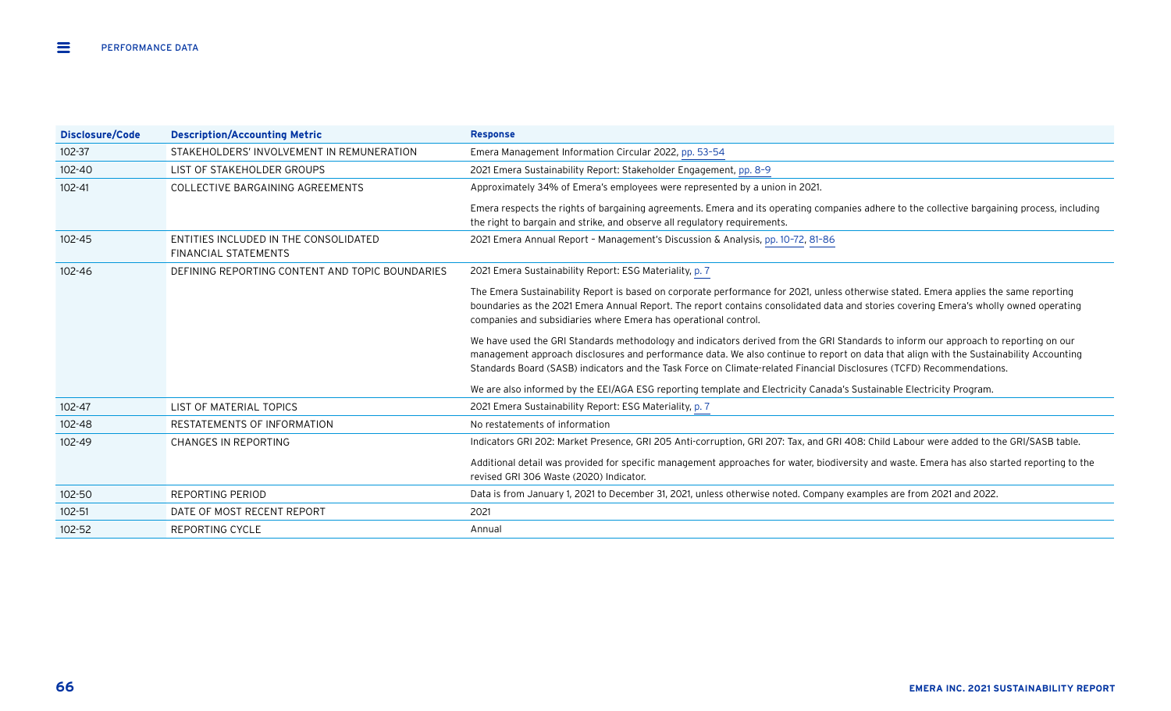| Disclosure/Code | <b>Description/Accounting Metric</b>                                 | <b>Response</b>                                                                                                                                                                                                                                                                                                                                                                                        |
|-----------------|----------------------------------------------------------------------|--------------------------------------------------------------------------------------------------------------------------------------------------------------------------------------------------------------------------------------------------------------------------------------------------------------------------------------------------------------------------------------------------------|
| $102 - 37$      | STAKEHOLDERS' INVOLVEMENT IN REMUNERATION                            | Emera Management Information Circular 2022, pp. 53-54                                                                                                                                                                                                                                                                                                                                                  |
| $102 - 40$      | LIST OF STAKEHOLDER GROUPS                                           | 2021 Emera Sustainability Report: Stakeholder Engagement, pp. 8-9                                                                                                                                                                                                                                                                                                                                      |
| $102 - 41$      | COLLECTIVE BARGAINING AGREEMENTS                                     | Approximately 34% of Emera's employees were represented by a union in 2021.                                                                                                                                                                                                                                                                                                                            |
|                 |                                                                      | Emera respects the rights of bargaining agreements. Emera and its operating companies adhere to the collective bargaining process, including<br>the right to bargain and strike, and observe all regulatory requirements.                                                                                                                                                                              |
| $102 - 45$      | ENTITIES INCLUDED IN THE CONSOLIDATED<br><b>FINANCIAL STATEMENTS</b> | 2021 Emera Annual Report - Management's Discussion & Analysis, pp. 10-72, 81-86                                                                                                                                                                                                                                                                                                                        |
| 102-46          | DEFINING REPORTING CONTENT AND TOPIC BOUNDARIES                      | 2021 Emera Sustainability Report: ESG Materiality, p. 7                                                                                                                                                                                                                                                                                                                                                |
|                 |                                                                      | The Emera Sustainability Report is based on corporate performance for 2021, unless otherwise stated. Emera applies the same reporting<br>boundaries as the 2021 Emera Annual Report. The report contains consolidated data and stories covering Emera's wholly owned operating<br>companies and subsidiaries where Emera has operational control.                                                      |
|                 |                                                                      | We have used the GRI Standards methodology and indicators derived from the GRI Standards to inform our approach to reporting on our<br>management approach disclosures and performance data. We also continue to report on data that align with the Sustainability Accounting<br>Standards Board (SASB) indicators and the Task Force on Climate-related Financial Disclosures (TCFD) Recommendations. |
|                 |                                                                      | We are also informed by the EEI/AGA ESG reporting template and Electricity Canada's Sustainable Electricity Program.                                                                                                                                                                                                                                                                                   |
| $102 - 47$      | LIST OF MATERIAL TOPICS                                              | 2021 Emera Sustainability Report: ESG Materiality, p. 7                                                                                                                                                                                                                                                                                                                                                |
| 102-48          | RESTATEMENTS OF INFORMATION                                          | No restatements of information                                                                                                                                                                                                                                                                                                                                                                         |
| $102 - 49$      | CHANGES IN REPORTING                                                 | Indicators GRI 202: Market Presence, GRI 205 Anti-corruption, GRI 207: Tax, and GRI 408: Child Labour were added to the GRI/SASB table.                                                                                                                                                                                                                                                                |
|                 |                                                                      | Additional detail was provided for specific management approaches for water, biodiversity and waste. Emera has also started reporting to the<br>revised GRI 306 Waste (2020) Indicator.                                                                                                                                                                                                                |
| 102-50          | <b>REPORTING PERIOD</b>                                              | Data is from January 1, 2021 to December 31, 2021, unless otherwise noted. Company examples are from 2021 and 2022.                                                                                                                                                                                                                                                                                    |
| $102 - 51$      | DATE OF MOST RECENT REPORT                                           | 2021                                                                                                                                                                                                                                                                                                                                                                                                   |
| $102 - 52$      | REPORTING CYCLE                                                      | Annual                                                                                                                                                                                                                                                                                                                                                                                                 |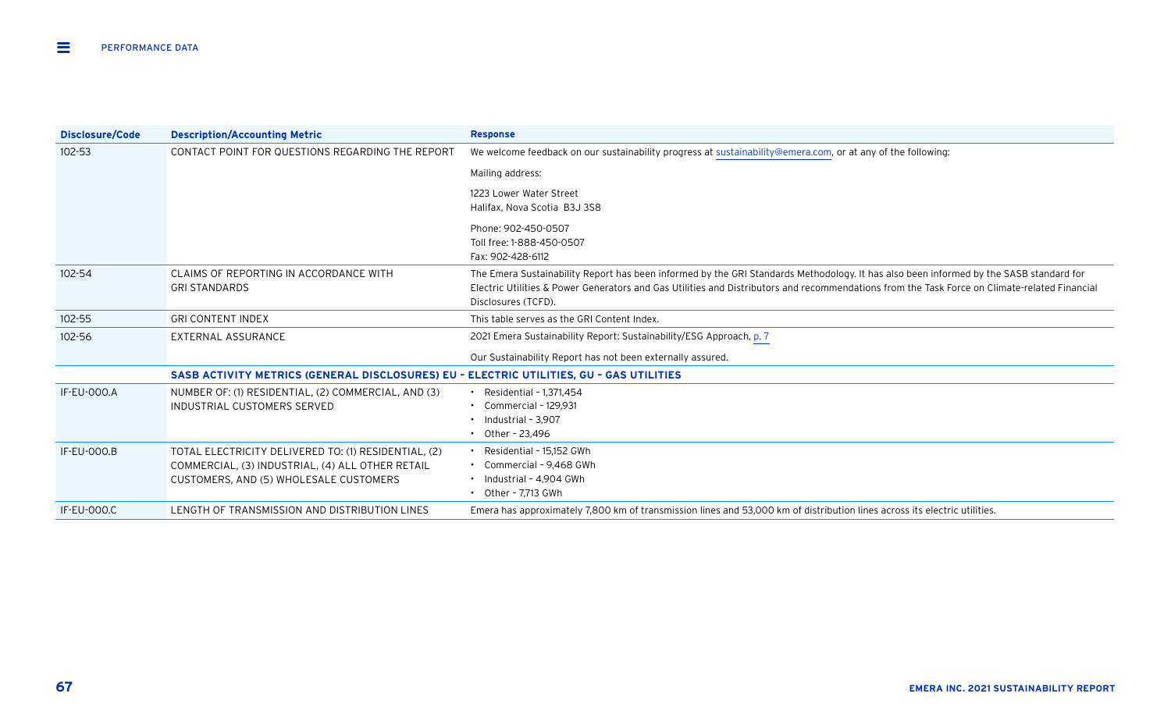| Disclosure/Code    | <b>Description/Accounting Metric</b>                                                    | <b>Response</b>                                                                                                                               |
|--------------------|-----------------------------------------------------------------------------------------|-----------------------------------------------------------------------------------------------------------------------------------------------|
| 102-53             | CONTACT POINT FOR QUESTIONS REGARDING THE REPORT                                        | We welcome feedback on our sustainability progress at sustainability@emera.com, or at any of the following:                                   |
|                    |                                                                                         | Mailing address:                                                                                                                              |
|                    |                                                                                         | 1223 Lower Water Street                                                                                                                       |
|                    |                                                                                         | Halifax, Nova Scotia B3J 3S8                                                                                                                  |
|                    |                                                                                         | Phone: 902-450-0507                                                                                                                           |
|                    |                                                                                         | Toll free: 1-888-450-0507                                                                                                                     |
|                    |                                                                                         | Fax: 902-428-6112                                                                                                                             |
| 102-54             | CLAIMS OF REPORTING IN ACCORDANCE WITH                                                  | The Emera Sustainability Report has been informed by the GRI Standards Methodology. It has also been informed by the SASB standard for        |
|                    | <b>GRI STANDARDS</b>                                                                    | Electric Utilities & Power Generators and Gas Utilities and Distributors and recommendations from the Task Force on Climate-related Financial |
|                    |                                                                                         | Disclosures (TCFD).                                                                                                                           |
| 102-55             | <b>GRI CONTENT INDEX</b>                                                                | This table serves as the GRI Content Index.                                                                                                   |
| 102-56             | EXTERNAL ASSURANCE                                                                      | 2021 Emera Sustainability Report: Sustainability/ESG Approach, p. 7                                                                           |
|                    |                                                                                         | Our Sustainability Report has not been externally assured.                                                                                    |
|                    | SASB ACTIVITY METRICS (GENERAL DISCLOSURES) EU - ELECTRIC UTILITIES, GU - GAS UTILITIES |                                                                                                                                               |
| IF-EU-000.A        | NUMBER OF: (1) RESIDENTIAL, (2) COMMERCIAL, AND (3)                                     | $\cdot$ Residential - 1,371,454                                                                                                               |
|                    | INDUSTRIAL CUSTOMERS SERVED                                                             | $\cdot$ Commercial - 129.931                                                                                                                  |
|                    |                                                                                         | $\cdot$ Industrial - 3.907                                                                                                                    |
|                    |                                                                                         | • Other - 23.496                                                                                                                              |
| <b>IF-EU-000.B</b> | TOTAL ELECTRICITY DELIVERED TO: (1) RESIDENTIAL, (2)                                    | • Residential - 15,152 GWh                                                                                                                    |
|                    | COMMERCIAL, (3) INDUSTRIAL, (4) ALL OTHER RETAIL                                        | • Commercial - 9,468 GWh                                                                                                                      |
|                    | CUSTOMERS, AND (5) WHOLESALE CUSTOMERS                                                  | • Industrial - 4,904 GWh                                                                                                                      |
|                    |                                                                                         | $\cdot$ Other - 7.713 GWh                                                                                                                     |
| <b>IF-EU-000.C</b> | LENGTH OF TRANSMISSION AND DISTRIBUTION LINES                                           | Emera has approximately 7,800 km of transmission lines and 53,000 km of distribution lines across its electric utilities.                     |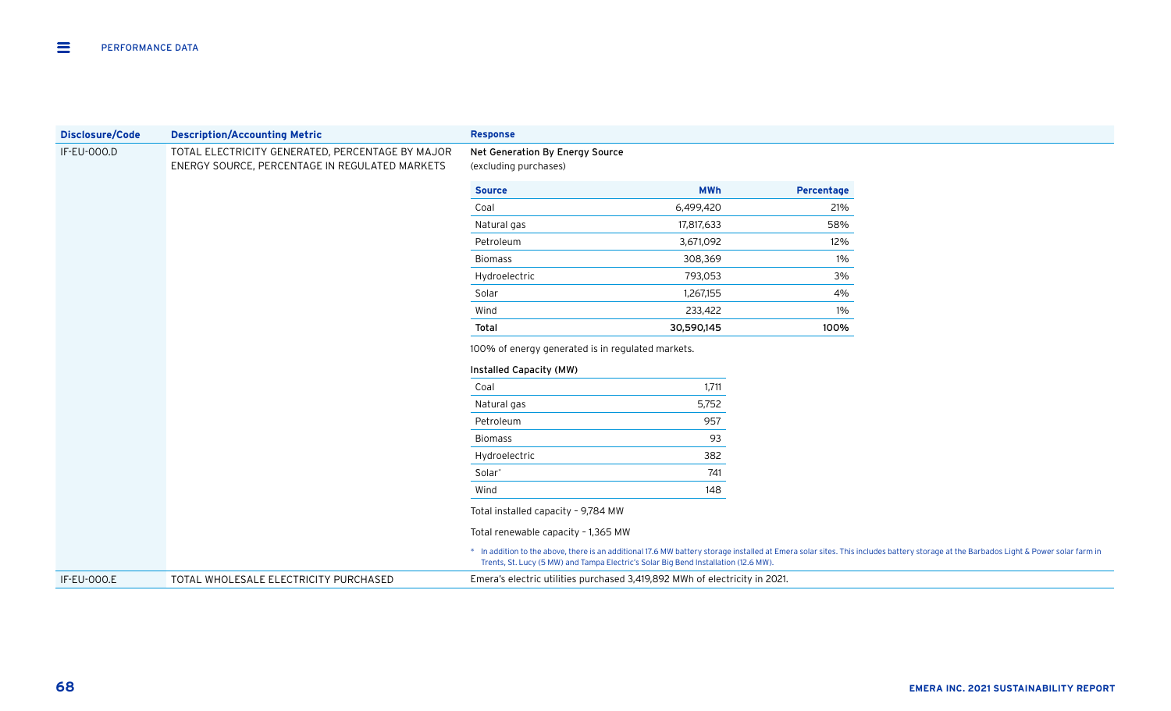| <b>Disclosure/Code</b> | <b>Description/Accounting Metric</b>             | <b>Response</b>                                                                                                                                                                                                                                                             |            |            |
|------------------------|--------------------------------------------------|-----------------------------------------------------------------------------------------------------------------------------------------------------------------------------------------------------------------------------------------------------------------------------|------------|------------|
| IF-EU-000.D            | TOTAL ELECTRICITY GENERATED, PERCENTAGE BY MAJOR | Net Generation By Energy Source                                                                                                                                                                                                                                             |            |            |
|                        | ENERGY SOURCE, PERCENTAGE IN REGULATED MARKETS   | (excluding purchases)                                                                                                                                                                                                                                                       |            |            |
|                        |                                                  | <b>Source</b>                                                                                                                                                                                                                                                               | <b>MWh</b> | Percentage |
|                        |                                                  | Coal                                                                                                                                                                                                                                                                        | 6,499,420  | 21%        |
|                        |                                                  | Natural gas                                                                                                                                                                                                                                                                 | 17,817,633 | 58%        |
|                        |                                                  | Petroleum                                                                                                                                                                                                                                                                   | 3,671,092  | 12%        |
|                        |                                                  | <b>Biomass</b>                                                                                                                                                                                                                                                              | 308,369    | 1%         |
|                        |                                                  | Hydroelectric                                                                                                                                                                                                                                                               | 793,053    | 3%         |
|                        |                                                  | Solar                                                                                                                                                                                                                                                                       | 1,267,155  | 4%         |
|                        |                                                  | Wind                                                                                                                                                                                                                                                                        | 233,422    | 1%         |
|                        |                                                  | Total                                                                                                                                                                                                                                                                       | 30,590,145 | 100%       |
|                        |                                                  | 100% of energy generated is in regulated markets.<br>Installed Capacity (MW)                                                                                                                                                                                                |            |            |
|                        |                                                  | Coal                                                                                                                                                                                                                                                                        | 1,711      |            |
|                        |                                                  | Natural gas                                                                                                                                                                                                                                                                 | 5,752      |            |
|                        |                                                  | Petroleum                                                                                                                                                                                                                                                                   | 957        |            |
|                        |                                                  | <b>Biomass</b>                                                                                                                                                                                                                                                              | 93         |            |
|                        |                                                  | Hydroelectric                                                                                                                                                                                                                                                               | 382        |            |
|                        |                                                  | Solar <sup>*</sup>                                                                                                                                                                                                                                                          | 741        |            |
|                        |                                                  | Wind                                                                                                                                                                                                                                                                        | 148        |            |
|                        |                                                  | Total installed capacity - 9,784 MW                                                                                                                                                                                                                                         |            |            |
|                        |                                                  | Total renewable capacity - 1,365 MW                                                                                                                                                                                                                                         |            |            |
|                        |                                                  | * In addition to the above, there is an additional 17.6 MW battery storage installed at Emera solar sites. This includes battery storage at the Barbados Light & Power solar farm in<br>Trents, St. Lucy (5 MW) and Tampa Electric's Solar Big Bend Installation (12.6 MW). |            |            |
| <b>IF-EU-000.E</b>     | TOTAL WHOLESALE ELECTRICITY PURCHASED            | Emera's electric utilities purchased 3,419,892 MWh of electricity in 2021.                                                                                                                                                                                                  |            |            |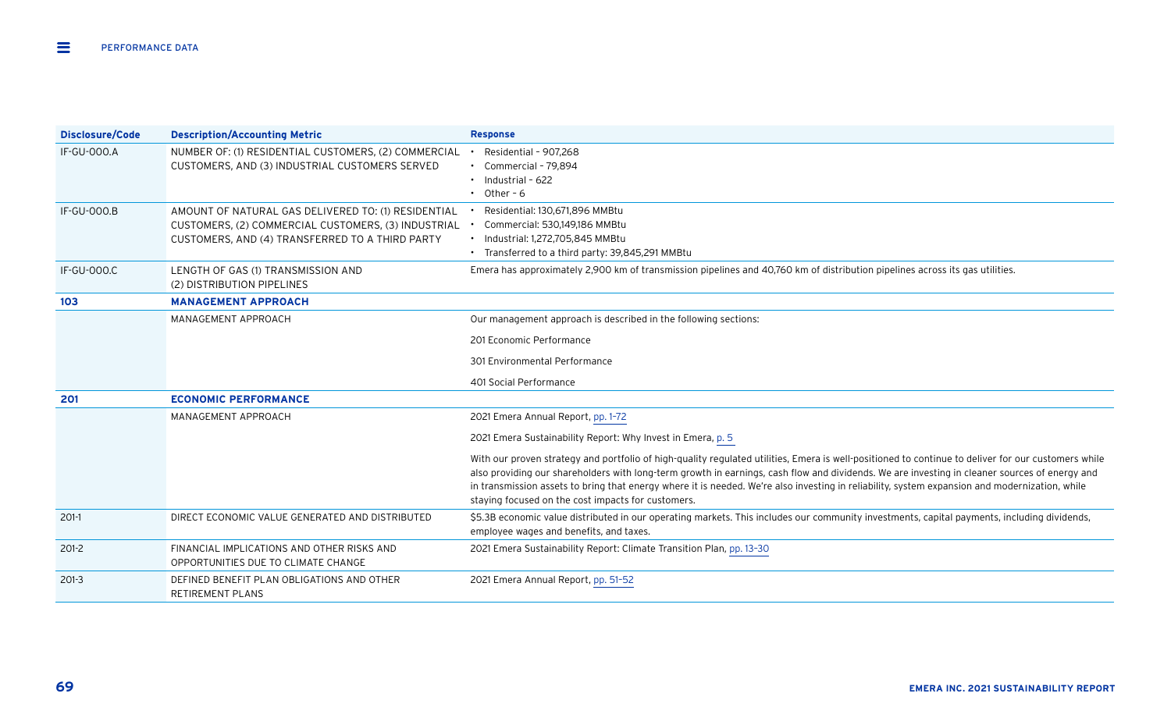| <b>Disclosure/Code</b> | <b>Description/Accounting Metric</b>                                                                                                                          | <b>Response</b>                                                                                                                                                                                                                                                                                                                                                                                                                                                                                              |
|------------------------|---------------------------------------------------------------------------------------------------------------------------------------------------------------|--------------------------------------------------------------------------------------------------------------------------------------------------------------------------------------------------------------------------------------------------------------------------------------------------------------------------------------------------------------------------------------------------------------------------------------------------------------------------------------------------------------|
| <b>IF-GU-000.A</b>     | NUMBER OF: (1) RESIDENTIAL CUSTOMERS, (2) COMMERCIAL<br>CUSTOMERS, AND (3) INDUSTRIAL CUSTOMERS SERVED                                                        | $\cdot$ Residential - 907.268<br>• Commercial - 79,894<br>$\cdot$ Industrial - 622<br>$\cdot$ Other - 6                                                                                                                                                                                                                                                                                                                                                                                                      |
| <b>IF-GU-000.B</b>     | AMOUNT OF NATURAL GAS DELIVERED TO: (1) RESIDENTIAL<br>CUSTOMERS, (2) COMMERCIAL CUSTOMERS, (3) INDUSTRIAL<br>CUSTOMERS, AND (4) TRANSFERRED TO A THIRD PARTY | Residential: 130,671,896 MMBtu<br>Commercial: 530,149,186 MMBtu<br>• Industrial: 1,272,705,845 MMBtu<br>• Transferred to a third party: 39,845,291 MMBtu                                                                                                                                                                                                                                                                                                                                                     |
| <b>IF-GU-000.C</b>     | LENGTH OF GAS (1) TRANSMISSION AND<br>(2) DISTRIBUTION PIPELINES                                                                                              | Emera has approximately 2,900 km of transmission pipelines and 40,760 km of distribution pipelines across its gas utilities.                                                                                                                                                                                                                                                                                                                                                                                 |
| 103                    | <b>MANAGEMENT APPROACH</b>                                                                                                                                    |                                                                                                                                                                                                                                                                                                                                                                                                                                                                                                              |
|                        | MANAGEMENT APPROACH                                                                                                                                           | Our management approach is described in the following sections:                                                                                                                                                                                                                                                                                                                                                                                                                                              |
|                        |                                                                                                                                                               | 201 Economic Performance                                                                                                                                                                                                                                                                                                                                                                                                                                                                                     |
|                        |                                                                                                                                                               | 301 Environmental Performance                                                                                                                                                                                                                                                                                                                                                                                                                                                                                |
|                        |                                                                                                                                                               | 401 Social Performance                                                                                                                                                                                                                                                                                                                                                                                                                                                                                       |
| 201                    | <b>ECONOMIC PERFORMANCE</b>                                                                                                                                   |                                                                                                                                                                                                                                                                                                                                                                                                                                                                                                              |
|                        | MANAGEMENT APPROACH                                                                                                                                           | 2021 Emera Annual Report, pp. 1-72                                                                                                                                                                                                                                                                                                                                                                                                                                                                           |
|                        |                                                                                                                                                               | 2021 Emera Sustainability Report: Why Invest in Emera, p. 5                                                                                                                                                                                                                                                                                                                                                                                                                                                  |
|                        |                                                                                                                                                               | With our proven strategy and portfolio of high-quality regulated utilities, Emera is well-positioned to continue to deliver for our customers while<br>also providing our shareholders with long-term growth in earnings, cash flow and dividends. We are investing in cleaner sources of energy and<br>in transmission assets to bring that energy where it is needed. We're also investing in reliability, system expansion and modernization, while<br>staying focused on the cost impacts for customers. |
| $201-1$                | DIRECT ECONOMIC VALUE GENERATED AND DISTRIBUTED                                                                                                               | \$5.3B economic value distributed in our operating markets. This includes our community investments, capital payments, including dividends,<br>employee wages and benefits, and taxes.                                                                                                                                                                                                                                                                                                                       |
| $201-2$                | FINANCIAL IMPLICATIONS AND OTHER RISKS AND<br>OPPORTUNITIES DUE TO CLIMATE CHANGE                                                                             | 2021 Emera Sustainability Report: Climate Transition Plan, pp. 13-30                                                                                                                                                                                                                                                                                                                                                                                                                                         |
| $201-3$                | DEFINED BENEFIT PLAN OBLIGATIONS AND OTHER<br><b>RETIREMENT PLANS</b>                                                                                         | 2021 Emera Annual Report, pp. 51-52                                                                                                                                                                                                                                                                                                                                                                                                                                                                          |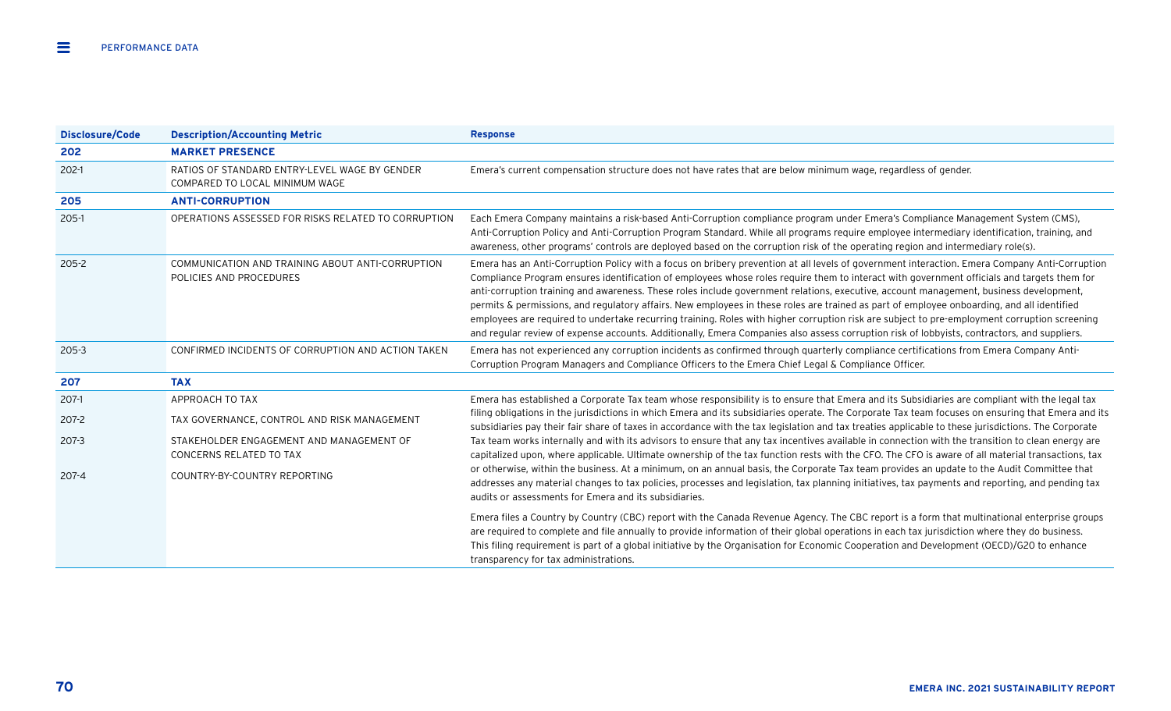| <b>Disclosure/Code</b> | <b>Description/Accounting Metric</b>                                            | <b>Response</b>                                                                                                                                                                                                                                                                                                                                                                                                                                                                                                                                                                                                                                                                                                                                                                                                                                                                    |
|------------------------|---------------------------------------------------------------------------------|------------------------------------------------------------------------------------------------------------------------------------------------------------------------------------------------------------------------------------------------------------------------------------------------------------------------------------------------------------------------------------------------------------------------------------------------------------------------------------------------------------------------------------------------------------------------------------------------------------------------------------------------------------------------------------------------------------------------------------------------------------------------------------------------------------------------------------------------------------------------------------|
| 202                    | <b>MARKET PRESENCE</b>                                                          |                                                                                                                                                                                                                                                                                                                                                                                                                                                                                                                                                                                                                                                                                                                                                                                                                                                                                    |
| $202-1$                | RATIOS OF STANDARD ENTRY-LEVEL WAGE BY GENDER<br>COMPARED TO LOCAL MINIMUM WAGE | Emera's current compensation structure does not have rates that are below minimum wage, regardless of gender.                                                                                                                                                                                                                                                                                                                                                                                                                                                                                                                                                                                                                                                                                                                                                                      |
| 205                    | <b>ANTI-CORRUPTION</b>                                                          |                                                                                                                                                                                                                                                                                                                                                                                                                                                                                                                                                                                                                                                                                                                                                                                                                                                                                    |
| $205-1$                | OPERATIONS ASSESSED FOR RISKS RELATED TO CORRUPTION                             | Each Emera Company maintains a risk-based Anti-Corruption compliance program under Emera's Compliance Management System (CMS),<br>Anti-Corruption Policy and Anti-Corruption Program Standard. While all programs require employee intermediary identification, training, and<br>awareness, other programs' controls are deployed based on the corruption risk of the operating region and intermediary role(s).                                                                                                                                                                                                                                                                                                                                                                                                                                                                   |
| $205 - 2$              | COMMUNICATION AND TRAINING ABOUT ANTI-CORRUPTION<br>POLICIES AND PROCEDURES     | Emera has an Anti-Corruption Policy with a focus on bribery prevention at all levels of government interaction. Emera Company Anti-Corruption<br>Compliance Program ensures identification of employees whose roles require them to interact with government officials and targets them for<br>anti-corruption training and awareness. These roles include government relations, executive, account management, business development,<br>permits & permissions, and regulatory affairs. New employees in these roles are trained as part of employee onboarding, and all identified<br>employees are required to undertake recurring training. Roles with higher corruption risk are subject to pre-employment corruption screening<br>and regular review of expense accounts. Additionally, Emera Companies also assess corruption risk of lobbyists, contractors, and suppliers. |
| 205-3                  | CONFIRMED INCIDENTS OF CORRUPTION AND ACTION TAKEN                              | Emera has not experienced any corruption incidents as confirmed through quarterly compliance certifications from Emera Company Anti-<br>Corruption Program Managers and Compliance Officers to the Emera Chief Legal & Compliance Officer.                                                                                                                                                                                                                                                                                                                                                                                                                                                                                                                                                                                                                                         |
| 207                    | <b>TAX</b>                                                                      |                                                                                                                                                                                                                                                                                                                                                                                                                                                                                                                                                                                                                                                                                                                                                                                                                                                                                    |
| 207-1                  | APPROACH TO TAX                                                                 | Emera has established a Corporate Tax team whose responsibility is to ensure that Emera and its Subsidiaries are compliant with the legal tax                                                                                                                                                                                                                                                                                                                                                                                                                                                                                                                                                                                                                                                                                                                                      |
| 207-2                  | TAX GOVERNANCE, CONTROL AND RISK MANAGEMENT                                     | filing obligations in the jurisdictions in which Emera and its subsidiaries operate. The Corporate Tax team focuses on ensuring that Emera and its<br>subsidiaries pay their fair share of taxes in accordance with the tax legislation and tax treaties applicable to these jurisdictions. The Corporate                                                                                                                                                                                                                                                                                                                                                                                                                                                                                                                                                                          |
| 207-3                  | STAKEHOLDER ENGAGEMENT AND MANAGEMENT OF<br>CONCERNS RELATED TO TAX             | Tax team works internally and with its advisors to ensure that any tax incentives available in connection with the transition to clean energy are<br>capitalized upon, where applicable. Ultimate ownership of the tax function rests with the CFO. The CFO is aware of all material transactions, tax                                                                                                                                                                                                                                                                                                                                                                                                                                                                                                                                                                             |
| 207-4                  | COUNTRY-BY-COUNTRY REPORTING                                                    | or otherwise, within the business. At a minimum, on an annual basis, the Corporate Tax team provides an update to the Audit Committee that<br>addresses any material changes to tax policies, processes and legislation, tax planning initiatives, tax payments and reporting, and pending tax<br>audits or assessments for Emera and its subsidiaries.                                                                                                                                                                                                                                                                                                                                                                                                                                                                                                                            |
|                        |                                                                                 | Emera files a Country by Country (CBC) report with the Canada Revenue Agency. The CBC report is a form that multinational enterprise groups<br>are required to complete and file annually to provide information of their global operations in each tax jurisdiction where they do business.<br>This filing requirement is part of a global initiative by the Organisation for Economic Cooperation and Development (OECD)/G20 to enhance<br>transparency for tax administrations.                                                                                                                                                                                                                                                                                                                                                                                                 |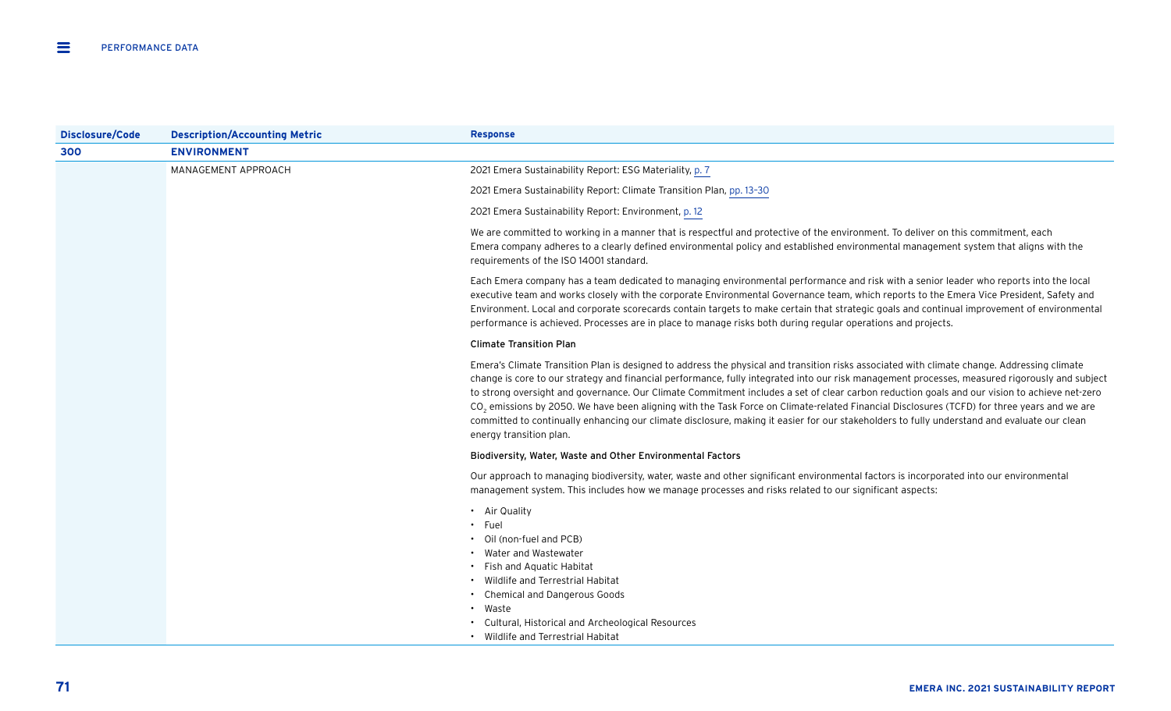| <b>Disclosure/Code</b> | <b>Description/Accounting Metric</b> | <b>Response</b>                                                                                                                                                                                                                                                                                                                                                                                                                                                                                                                                                                                                                                                                                                                                                                    |
|------------------------|--------------------------------------|------------------------------------------------------------------------------------------------------------------------------------------------------------------------------------------------------------------------------------------------------------------------------------------------------------------------------------------------------------------------------------------------------------------------------------------------------------------------------------------------------------------------------------------------------------------------------------------------------------------------------------------------------------------------------------------------------------------------------------------------------------------------------------|
| 300                    | <b>ENVIRONMENT</b>                   |                                                                                                                                                                                                                                                                                                                                                                                                                                                                                                                                                                                                                                                                                                                                                                                    |
|                        | MANAGEMENT APPROACH                  | 2021 Emera Sustainability Report: ESG Materiality, p. 7                                                                                                                                                                                                                                                                                                                                                                                                                                                                                                                                                                                                                                                                                                                            |
|                        |                                      | 2021 Emera Sustainability Report: Climate Transition Plan, pp. 13-30                                                                                                                                                                                                                                                                                                                                                                                                                                                                                                                                                                                                                                                                                                               |
|                        |                                      | 2021 Emera Sustainability Report: Environment, p. 12                                                                                                                                                                                                                                                                                                                                                                                                                                                                                                                                                                                                                                                                                                                               |
|                        |                                      | We are committed to working in a manner that is respectful and protective of the environment. To deliver on this commitment, each<br>Emera company adheres to a clearly defined environmental policy and established environmental management system that aligns with the<br>requirements of the ISO 14001 standard.                                                                                                                                                                                                                                                                                                                                                                                                                                                               |
|                        |                                      | Each Emera company has a team dedicated to managing environmental performance and risk with a senior leader who reports into the local<br>executive team and works closely with the corporate Environmental Governance team, which reports to the Emera Vice President, Safety and<br>Environment. Local and corporate scorecards contain targets to make certain that strategic goals and continual improvement of environmental<br>performance is achieved. Processes are in place to manage risks both during regular operations and projects.                                                                                                                                                                                                                                  |
|                        |                                      | <b>Climate Transition Plan</b>                                                                                                                                                                                                                                                                                                                                                                                                                                                                                                                                                                                                                                                                                                                                                     |
|                        |                                      | Emera's Climate Transition Plan is designed to address the physical and transition risks associated with climate change. Addressing climate<br>change is core to our strategy and financial performance, fully integrated into our risk management processes, measured rigorously and subject<br>to strong oversight and governance. Our Climate Commitment includes a set of clear carbon reduction goals and our vision to achieve net-zero<br>CO <sub>2</sub> emissions by 2050. We have been aligning with the Task Force on Climate-related Financial Disclosures (TCFD) for three years and we are<br>committed to continually enhancing our climate disclosure, making it easier for our stakeholders to fully understand and evaluate our clean<br>energy transition plan. |
|                        |                                      | Biodiversity, Water, Waste and Other Environmental Factors                                                                                                                                                                                                                                                                                                                                                                                                                                                                                                                                                                                                                                                                                                                         |
|                        |                                      | Our approach to managing biodiversity, water, waste and other significant environmental factors is incorporated into our environmental<br>management system. This includes how we manage processes and risks related to our significant aspects:                                                                                                                                                                                                                                                                                                                                                                                                                                                                                                                                   |
|                        |                                      | • Air Quality<br>· Fuel<br>Oil (non-fuel and PCB)<br>Water and Wastewater<br>• Fish and Aquatic Habitat<br>Wildlife and Terrestrial Habitat<br><b>Chemical and Dangerous Goods</b><br>Waste<br>Cultural, Historical and Archeological Resources<br>• Wildlife and Terrestrial Habitat                                                                                                                                                                                                                                                                                                                                                                                                                                                                                              |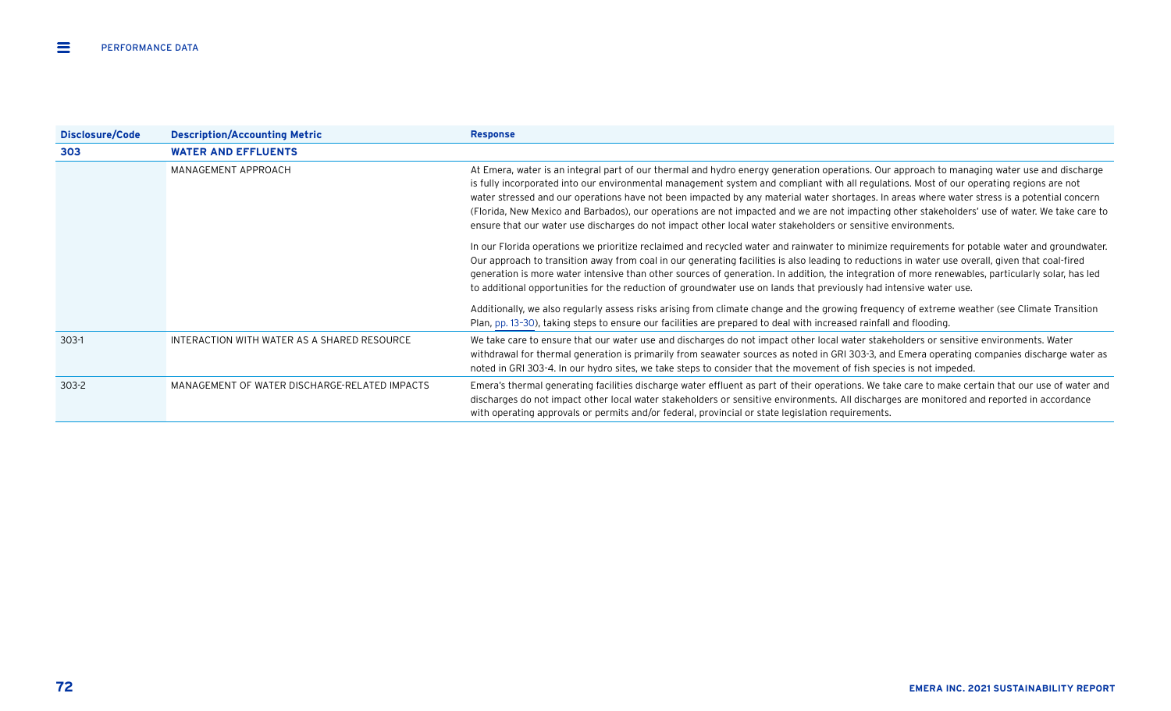| Disclosure/Code | <b>Description/Accounting Metric</b>          | <b>Response</b>                                                                                                                                                                                                                                                                                                                                                                                                                                                                                                                                                                                                                                                                                           |
|-----------------|-----------------------------------------------|-----------------------------------------------------------------------------------------------------------------------------------------------------------------------------------------------------------------------------------------------------------------------------------------------------------------------------------------------------------------------------------------------------------------------------------------------------------------------------------------------------------------------------------------------------------------------------------------------------------------------------------------------------------------------------------------------------------|
| 303             | <b>WATER AND EFFLUENTS</b>                    |                                                                                                                                                                                                                                                                                                                                                                                                                                                                                                                                                                                                                                                                                                           |
|                 | MANAGEMENT APPROACH                           | At Emera, water is an integral part of our thermal and hydro energy generation operations. Our approach to managing water use and discharge<br>is fully incorporated into our environmental management system and compliant with all regulations. Most of our operating regions are not<br>water stressed and our operations have not been impacted by any material water shortages. In areas where water stress is a potential concern<br>(Florida, New Mexico and Barbados), our operations are not impacted and we are not impacting other stakeholders' use of water. We take care to<br>ensure that our water use discharges do not impact other local water stakeholders or sensitive environments. |
|                 |                                               | In our Florida operations we prioritize reclaimed and recycled water and rainwater to minimize requirements for potable water and groundwater.<br>Our approach to transition away from coal in our generating facilities is also leading to reductions in water use overall, given that coal-fired<br>generation is more water intensive than other sources of generation. In addition, the integration of more renewables, particularly solar, has led<br>to additional opportunities for the reduction of groundwater use on lands that previously had intensive water use.                                                                                                                             |
|                 |                                               | Additionally, we also regularly assess risks arising from climate change and the growing frequency of extreme weather (see Climate Transition<br>Plan, pp. 13-30), taking steps to ensure our facilities are prepared to deal with increased rainfall and flooding.                                                                                                                                                                                                                                                                                                                                                                                                                                       |
| $303-1$         | INTERACTION WITH WATER AS A SHARED RESOURCE   | We take care to ensure that our water use and discharges do not impact other local water stakeholders or sensitive environments. Water<br>withdrawal for thermal generation is primarily from seawater sources as noted in GRI 303-3, and Emera operating companies discharge water as<br>noted in GRI 303-4. In our hydro sites, we take steps to consider that the movement of fish species is not impeded.                                                                                                                                                                                                                                                                                             |
| $303 - 2$       | MANAGEMENT OF WATER DISCHARGE-RELATED IMPACTS | Emera's thermal generating facilities discharge water effluent as part of their operations. We take care to make certain that our use of water and<br>discharges do not impact other local water stakeholders or sensitive environments. All discharges are monitored and reported in accordance<br>with operating approvals or permits and/or federal, provincial or state legislation requirements.                                                                                                                                                                                                                                                                                                     |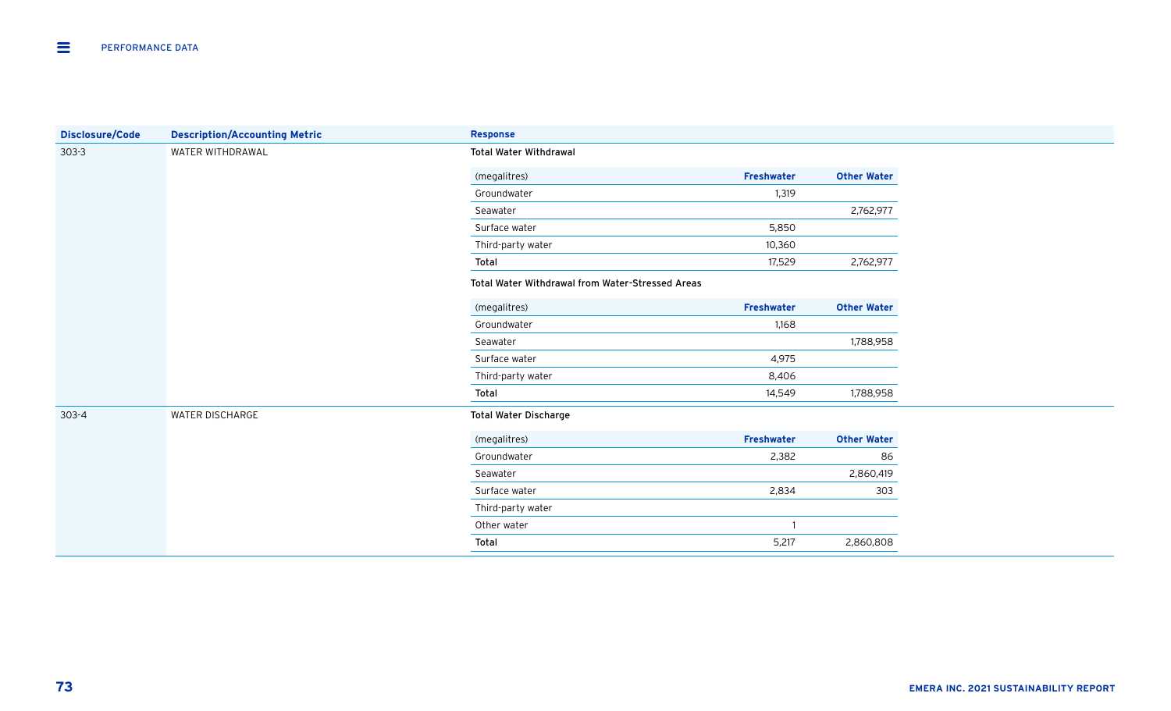| <b>Disclosure/Code</b> | <b>Description/Accounting Metric</b> | <b>Response</b>                                  |                   |                    |  |  |  |
|------------------------|--------------------------------------|--------------------------------------------------|-------------------|--------------------|--|--|--|
| $303 - 3$              | WATER WITHDRAWAL                     | <b>Total Water Withdrawal</b>                    |                   |                    |  |  |  |
|                        |                                      | (megalitres)                                     | Freshwater        | <b>Other Water</b> |  |  |  |
|                        |                                      | Groundwater                                      | 1,319             |                    |  |  |  |
|                        |                                      | Seawater                                         |                   | 2,762,977          |  |  |  |
|                        |                                      | Surface water                                    | 5,850             |                    |  |  |  |
|                        |                                      | Third-party water                                | 10,360            |                    |  |  |  |
|                        |                                      | Total                                            | 17,529            | 2,762,977          |  |  |  |
|                        |                                      | Total Water Withdrawal from Water-Stressed Areas |                   |                    |  |  |  |
|                        |                                      | (megalitres)                                     | Freshwater        | <b>Other Water</b> |  |  |  |
|                        |                                      | Groundwater                                      | 1,168             |                    |  |  |  |
|                        |                                      | Seawater                                         |                   | 1,788,958          |  |  |  |
|                        |                                      | Surface water                                    | 4,975             |                    |  |  |  |
|                        |                                      | Third-party water                                | 8,406             |                    |  |  |  |
|                        |                                      | Total                                            | 14,549            | 1,788,958          |  |  |  |
| $303 - 4$              | WATER DISCHARGE                      | <b>Total Water Discharge</b>                     |                   |                    |  |  |  |
|                        |                                      | (megalitres)                                     | <b>Freshwater</b> | <b>Other Water</b> |  |  |  |
|                        |                                      | Groundwater                                      | 2,382             | 86                 |  |  |  |
|                        |                                      | Seawater                                         |                   | 2,860,419          |  |  |  |
|                        |                                      | Surface water                                    | 2,834             | 303                |  |  |  |
|                        |                                      | Third-party water                                |                   |                    |  |  |  |
|                        |                                      | Other water                                      |                   |                    |  |  |  |
|                        |                                      | Total                                            | 5,217             | 2,860,808          |  |  |  |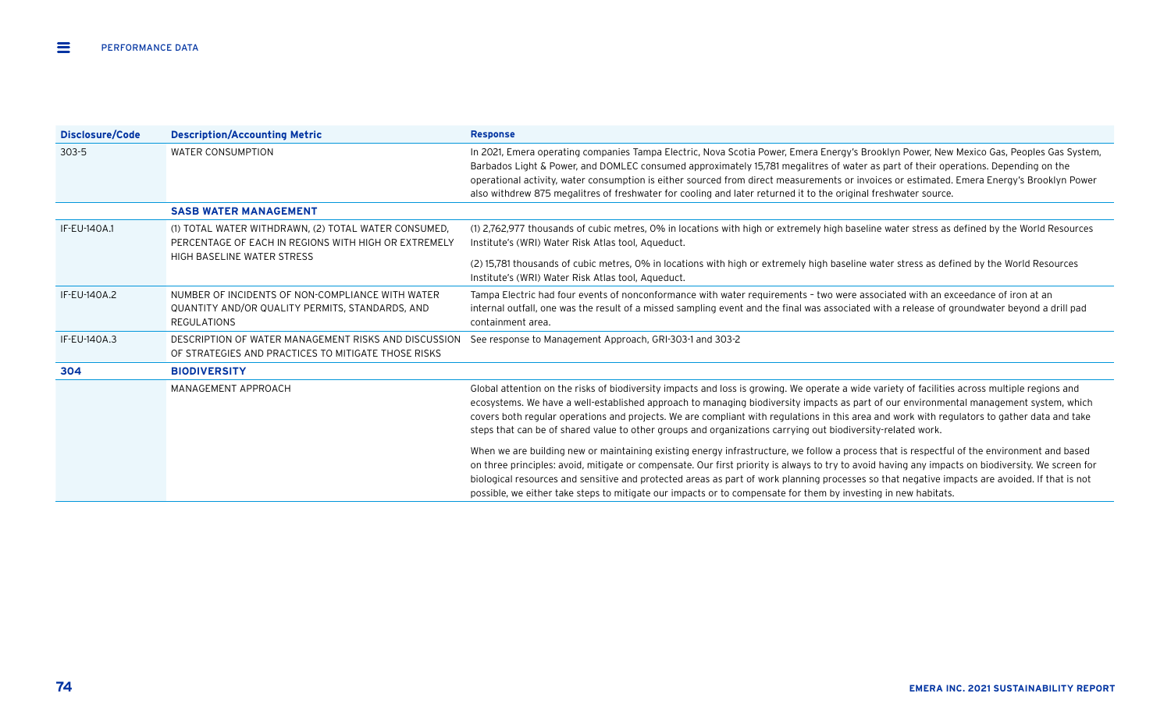| Disclosure/Code | <b>Description/Accounting Metric</b>                                                                                      | <b>Response</b>                                                                                                                                                                                                                                                                                                                                                                                                                                                                                                                                                       |
|-----------------|---------------------------------------------------------------------------------------------------------------------------|-----------------------------------------------------------------------------------------------------------------------------------------------------------------------------------------------------------------------------------------------------------------------------------------------------------------------------------------------------------------------------------------------------------------------------------------------------------------------------------------------------------------------------------------------------------------------|
| $303 - 5$       | <b>WATER CONSUMPTION</b>                                                                                                  | In 2021, Emera operating companies Tampa Electric, Nova Scotia Power, Emera Energy's Brooklyn Power, New Mexico Gas, Peoples Gas System,<br>Barbados Light & Power, and DOMLEC consumed approximately 15,781 megalitres of water as part of their operations. Depending on the<br>operational activity, water consumption is either sourced from direct measurements or invoices or estimated. Emera Energy's Brooklyn Power<br>also withdrew 875 megalitres of freshwater for cooling and later returned it to the original freshwater source.                       |
|                 | <b>SASB WATER MANAGEMENT</b>                                                                                              |                                                                                                                                                                                                                                                                                                                                                                                                                                                                                                                                                                       |
| IF-EU-140A.1    | (1) TOTAL WATER WITHDRAWN, (2) TOTAL WATER CONSUMED,<br>PERCENTAGE OF EACH IN REGIONS WITH HIGH OR EXTREMELY              | (1) 2,762,977 thousands of cubic metres, 0% in locations with high or extremely high baseline water stress as defined by the World Resources<br>Institute's (WRI) Water Risk Atlas tool, Aqueduct.                                                                                                                                                                                                                                                                                                                                                                    |
|                 | HIGH BASELINE WATER STRESS                                                                                                | (2) 15,781 thousands of cubic metres, 0% in locations with high or extremely high baseline water stress as defined by the World Resources<br>Institute's (WRI) Water Risk Atlas tool, Aqueduct.                                                                                                                                                                                                                                                                                                                                                                       |
| IF-EU-140A.2    | NUMBER OF INCIDENTS OF NON-COMPLIANCE WITH WATER<br>QUANTITY AND/OR QUALITY PERMITS, STANDARDS, AND<br><b>REGULATIONS</b> | Tampa Electric had four events of nonconformance with water requirements - two were associated with an exceedance of iron at an<br>internal outfall, one was the result of a missed sampling event and the final was associated with a release of groundwater beyond a drill pad<br>containment area.                                                                                                                                                                                                                                                                 |
| IF-EU-140A.3    | DESCRIPTION OF WATER MANAGEMENT RISKS AND DISCUSSION<br>OF STRATEGIES AND PRACTICES TO MITIGATE THOSE RISKS               | See response to Management Approach, GRI-303-1 and 303-2                                                                                                                                                                                                                                                                                                                                                                                                                                                                                                              |
| 304             | <b>BIODIVERSITY</b>                                                                                                       |                                                                                                                                                                                                                                                                                                                                                                                                                                                                                                                                                                       |
|                 | MANAGEMENT APPROACH                                                                                                       | Global attention on the risks of biodiversity impacts and loss is growing. We operate a wide variety of facilities across multiple regions and<br>ecosystems. We have a well-established approach to managing biodiversity impacts as part of our environmental management system, which<br>covers both regular operations and projects. We are compliant with regulations in this area and work with regulators to gather data and take<br>steps that can be of shared value to other groups and organizations carrying out biodiversity-related work.               |
|                 |                                                                                                                           | When we are building new or maintaining existing energy infrastructure, we follow a process that is respectful of the environment and based<br>on three principles: avoid, mitigate or compensate. Our first priority is always to try to avoid having any impacts on biodiversity. We screen for<br>biological resources and sensitive and protected areas as part of work planning processes so that negative impacts are avoided. If that is not<br>possible, we either take steps to mitigate our impacts or to compensate for them by investing in new habitats. |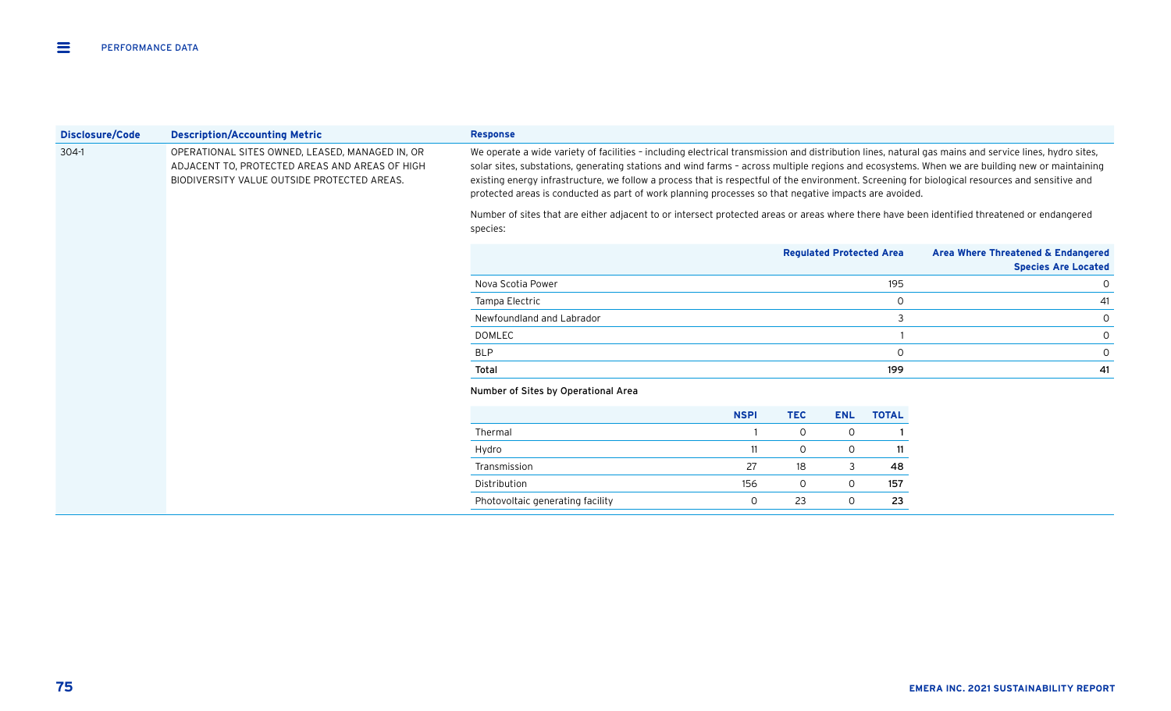| Disclosure/Code | <b>Description/Accounting Metric</b>                                                                                                             | <b>Response</b>                                                                                                                                                                                                                                                                                                                                                                                                                                                                                                                                                     |             |              |                                 |              |                                                                  |
|-----------------|--------------------------------------------------------------------------------------------------------------------------------------------------|---------------------------------------------------------------------------------------------------------------------------------------------------------------------------------------------------------------------------------------------------------------------------------------------------------------------------------------------------------------------------------------------------------------------------------------------------------------------------------------------------------------------------------------------------------------------|-------------|--------------|---------------------------------|--------------|------------------------------------------------------------------|
| 304-1           | OPERATIONAL SITES OWNED, LEASED, MANAGED IN, OR<br>ADJACENT TO, PROTECTED AREAS AND AREAS OF HIGH<br>BIODIVERSITY VALUE OUTSIDE PROTECTED AREAS. | We operate a wide variety of facilities - including electrical transmission and distribution lines, natural gas mains and service lines, hydro sites,<br>solar sites, substations, generating stations and wind farms - across multiple regions and ecosystems. When we are building new or maintaining<br>existing energy infrastructure, we follow a process that is respectful of the environment. Screening for biological resources and sensitive and<br>protected areas is conducted as part of work planning processes so that negative impacts are avoided. |             |              |                                 |              |                                                                  |
|                 |                                                                                                                                                  | Number of sites that are either adjacent to or intersect protected areas or areas where there have been identified threatened or endangered<br>species:                                                                                                                                                                                                                                                                                                                                                                                                             |             |              |                                 |              |                                                                  |
|                 |                                                                                                                                                  |                                                                                                                                                                                                                                                                                                                                                                                                                                                                                                                                                                     |             |              | <b>Regulated Protected Area</b> |              | Area Where Threatened & Endangered<br><b>Species Are Located</b> |
|                 |                                                                                                                                                  | Nova Scotia Power                                                                                                                                                                                                                                                                                                                                                                                                                                                                                                                                                   |             |              |                                 | 195          | 0                                                                |
|                 |                                                                                                                                                  | Tampa Electric                                                                                                                                                                                                                                                                                                                                                                                                                                                                                                                                                      |             |              |                                 | $\circ$      | 41                                                               |
|                 |                                                                                                                                                  | Newfoundland and Labrador                                                                                                                                                                                                                                                                                                                                                                                                                                                                                                                                           |             |              |                                 | 3            | 0                                                                |
|                 |                                                                                                                                                  | <b>DOMLEC</b>                                                                                                                                                                                                                                                                                                                                                                                                                                                                                                                                                       |             |              |                                 |              | 0                                                                |
|                 |                                                                                                                                                  | <b>BLP</b>                                                                                                                                                                                                                                                                                                                                                                                                                                                                                                                                                          |             |              |                                 | $\mathbf 0$  | 0                                                                |
|                 |                                                                                                                                                  | Total                                                                                                                                                                                                                                                                                                                                                                                                                                                                                                                                                               |             |              |                                 | 199          | 41                                                               |
|                 |                                                                                                                                                  | Number of Sites by Operational Area                                                                                                                                                                                                                                                                                                                                                                                                                                                                                                                                 |             |              |                                 |              |                                                                  |
|                 |                                                                                                                                                  |                                                                                                                                                                                                                                                                                                                                                                                                                                                                                                                                                                     | <b>NSPI</b> | <b>TEC</b>   | <b>ENL</b>                      | <b>TOTAL</b> |                                                                  |
|                 |                                                                                                                                                  | Thermal                                                                                                                                                                                                                                                                                                                                                                                                                                                                                                                                                             |             | $\mathsf{O}$ | 0                               |              |                                                                  |
|                 |                                                                                                                                                  | Hydro                                                                                                                                                                                                                                                                                                                                                                                                                                                                                                                                                               | 11          | $\mathsf{O}$ | 0                               | 11           |                                                                  |
|                 |                                                                                                                                                  | Transmission                                                                                                                                                                                                                                                                                                                                                                                                                                                                                                                                                        | 27          | 18           | 3                               | 48           |                                                                  |
|                 |                                                                                                                                                  | Distribution                                                                                                                                                                                                                                                                                                                                                                                                                                                                                                                                                        | 156         | 0            | 0                               | 157          |                                                                  |
|                 |                                                                                                                                                  | Photovoltaic generating facility                                                                                                                                                                                                                                                                                                                                                                                                                                                                                                                                    | O           | 23           | 0                               | 23           |                                                                  |
|                 |                                                                                                                                                  |                                                                                                                                                                                                                                                                                                                                                                                                                                                                                                                                                                     |             |              |                                 |              |                                                                  |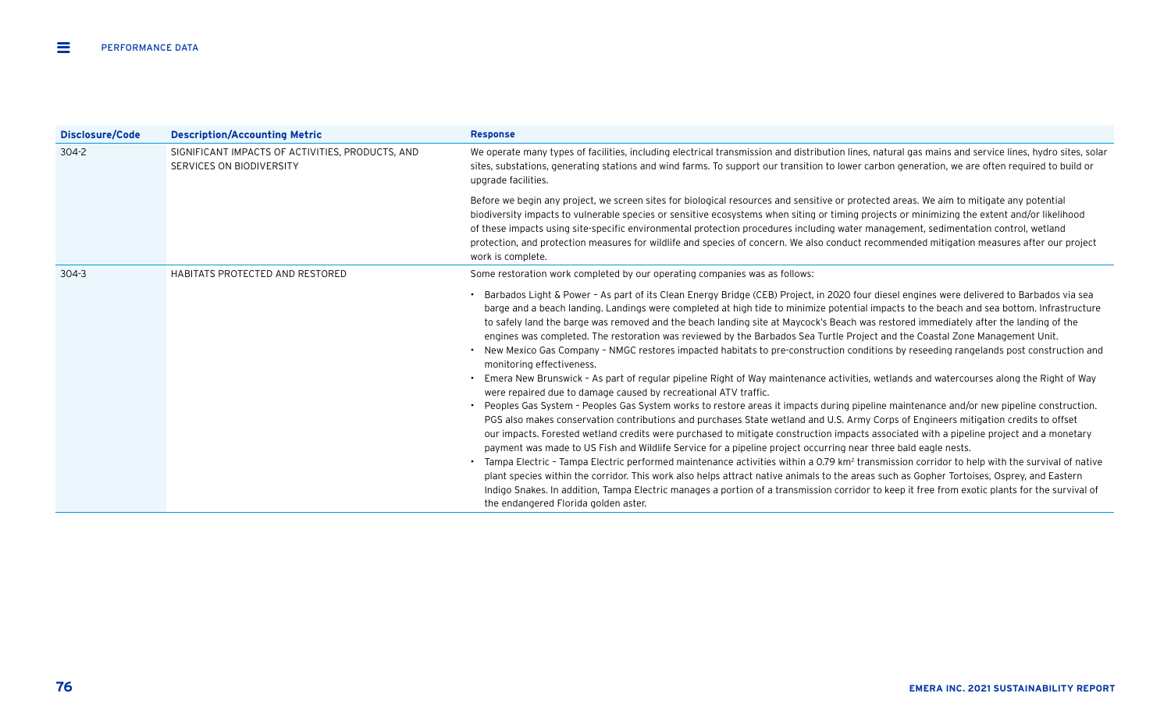| Disclosure/Code | <b>Description/Accounting Metric</b>                                         | <b>Response</b>                                                                                                                                                                                                                                                                                                                                                                                                                                                                                                                                                                                                                                                                                                                                                                                                                                                                                                                                                                                                                                                                                                                                                                                                                                                                                                                                                                                                                                                                                                                                                                                                                                                                                                                                                                                                                                                                                                                                                                                        |
|-----------------|------------------------------------------------------------------------------|--------------------------------------------------------------------------------------------------------------------------------------------------------------------------------------------------------------------------------------------------------------------------------------------------------------------------------------------------------------------------------------------------------------------------------------------------------------------------------------------------------------------------------------------------------------------------------------------------------------------------------------------------------------------------------------------------------------------------------------------------------------------------------------------------------------------------------------------------------------------------------------------------------------------------------------------------------------------------------------------------------------------------------------------------------------------------------------------------------------------------------------------------------------------------------------------------------------------------------------------------------------------------------------------------------------------------------------------------------------------------------------------------------------------------------------------------------------------------------------------------------------------------------------------------------------------------------------------------------------------------------------------------------------------------------------------------------------------------------------------------------------------------------------------------------------------------------------------------------------------------------------------------------------------------------------------------------------------------------------------------------|
| $304 - 2$       | SIGNIFICANT IMPACTS OF ACTIVITIES, PRODUCTS, AND<br>SERVICES ON BIODIVERSITY | We operate many types of facilities, including electrical transmission and distribution lines, natural gas mains and service lines, hydro sites, solar<br>sites, substations, generating stations and wind farms. To support our transition to lower carbon generation, we are often required to build or<br>upgrade facilities.                                                                                                                                                                                                                                                                                                                                                                                                                                                                                                                                                                                                                                                                                                                                                                                                                                                                                                                                                                                                                                                                                                                                                                                                                                                                                                                                                                                                                                                                                                                                                                                                                                                                       |
|                 |                                                                              | Before we begin any project, we screen sites for biological resources and sensitive or protected areas. We aim to mitigate any potential<br>biodiversity impacts to vulnerable species or sensitive ecosystems when siting or timing projects or minimizing the extent and/or likelihood<br>of these impacts using site-specific environmental protection procedures including water management, sedimentation control, wetland<br>protection, and protection measures for wildlife and species of concern. We also conduct recommended mitigation measures after our project<br>work is complete.                                                                                                                                                                                                                                                                                                                                                                                                                                                                                                                                                                                                                                                                                                                                                                                                                                                                                                                                                                                                                                                                                                                                                                                                                                                                                                                                                                                                     |
| $304 - 3$       | HABITATS PROTECTED AND RESTORED                                              | Some restoration work completed by our operating companies was as follows:                                                                                                                                                                                                                                                                                                                                                                                                                                                                                                                                                                                                                                                                                                                                                                                                                                                                                                                                                                                                                                                                                                                                                                                                                                                                                                                                                                                                                                                                                                                                                                                                                                                                                                                                                                                                                                                                                                                             |
|                 |                                                                              | Barbados Light & Power - As part of its Clean Energy Bridge (CEB) Project, in 2020 four diesel engines were delivered to Barbados via sea<br>barge and a beach landing. Landings were completed at high tide to minimize potential impacts to the beach and sea bottom. Infrastructure<br>to safely land the barge was removed and the beach landing site at Maycock's Beach was restored immediately after the landing of the<br>engines was completed. The restoration was reviewed by the Barbados Sea Turtle Project and the Coastal Zone Management Unit.<br>New Mexico Gas Company - NMGC restores impacted habitats to pre-construction conditions by reseeding rangelands post construction and<br>monitoring effectiveness.<br>Emera New Brunswick - As part of regular pipeline Right of Way maintenance activities, wetlands and watercourses along the Right of Way<br>were repaired due to damage caused by recreational ATV traffic.<br>Peoples Gas System - Peoples Gas System works to restore areas it impacts during pipeline maintenance and/or new pipeline construction.<br>PGS also makes conservation contributions and purchases State wetland and U.S. Army Corps of Engineers mitigation credits to offset<br>our impacts. Forested wetland credits were purchased to mitigate construction impacts associated with a pipeline project and a monetary<br>payment was made to US Fish and Wildlife Service for a pipeline project occurring near three bald eagle nests.<br>• Tampa Electric - Tampa Electric performed maintenance activities within a 0.79 km <sup>2</sup> transmission corridor to help with the survival of native<br>plant species within the corridor. This work also helps attract native animals to the areas such as Gopher Tortoises, Osprey, and Eastern<br>Indigo Snakes. In addition, Tampa Electric manages a portion of a transmission corridor to keep it free from exotic plants for the survival of<br>the endangered Florida golden aster. |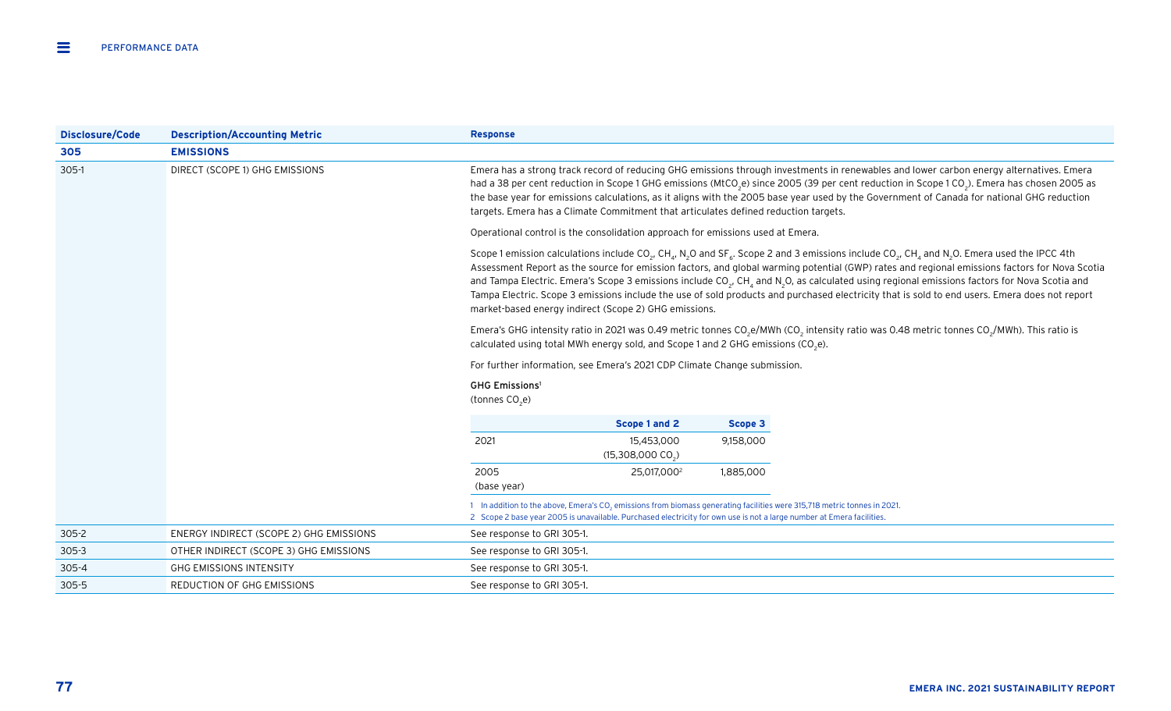| Disclosure/Code | <b>Description/Accounting Metric</b>    | <b>Response</b>                                                                                                                                                                                                                                             |                                                                                                                                                                                                                                                                                                                                                                                                                                                                                                                                                                                                                                                                                                                                                                       |           |                                                                                                                                                                               |  |  |
|-----------------|-----------------------------------------|-------------------------------------------------------------------------------------------------------------------------------------------------------------------------------------------------------------------------------------------------------------|-----------------------------------------------------------------------------------------------------------------------------------------------------------------------------------------------------------------------------------------------------------------------------------------------------------------------------------------------------------------------------------------------------------------------------------------------------------------------------------------------------------------------------------------------------------------------------------------------------------------------------------------------------------------------------------------------------------------------------------------------------------------------|-----------|-------------------------------------------------------------------------------------------------------------------------------------------------------------------------------|--|--|
| 305             | <b>EMISSIONS</b>                        |                                                                                                                                                                                                                                                             |                                                                                                                                                                                                                                                                                                                                                                                                                                                                                                                                                                                                                                                                                                                                                                       |           |                                                                                                                                                                               |  |  |
| $305-1$         | DIRECT (SCOPE 1) GHG EMISSIONS          |                                                                                                                                                                                                                                                             | Emera has a strong track record of reducing GHG emissions through investments in renewables and lower carbon energy alternatives. Emera<br>had a 38 per cent reduction in Scope 1 GHG emissions (MtCO <sub>2</sub> e) since 2005 (39 per cent reduction in Scope 1 CO <sub>2</sub> ). Emera has chosen 2005 as<br>the base year for emissions calculations, as it aligns with the 2005 base year used by the Government of Canada for national GHG reduction<br>targets. Emera has a Climate Commitment that articulates defined reduction targets.                                                                                                                                                                                                                   |           |                                                                                                                                                                               |  |  |
|                 |                                         |                                                                                                                                                                                                                                                             | Operational control is the consolidation approach for emissions used at Emera.                                                                                                                                                                                                                                                                                                                                                                                                                                                                                                                                                                                                                                                                                        |           |                                                                                                                                                                               |  |  |
|                 |                                         |                                                                                                                                                                                                                                                             | Scope 1 emission calculations include CO <sub>2</sub> , CH <sub>4</sub> , N <sub>2</sub> O and SF <sub>6</sub> . Scope 2 and 3 emissions include CO <sub>2</sub> , CH <sub>4</sub> and N <sub>2</sub> O. Emera used the IPCC 4th<br>Assessment Report as the source for emission factors, and global warming potential (GWP) rates and regional emissions factors for Nova Scotia<br>and Tampa Electric. Emera's Scope 3 emissions include $CO2$ , CH <sub>a</sub> and N <sub>2</sub> O, as calculated using regional emissions factors for Nova Scotia and<br>Tampa Electric. Scope 3 emissions include the use of sold products and purchased electricity that is sold to end users. Emera does not report<br>market-based energy indirect (Scope 2) GHG emissions. |           |                                                                                                                                                                               |  |  |
|                 |                                         |                                                                                                                                                                                                                                                             | calculated using total MWh energy sold, and Scope 1 and 2 GHG emissions (CO <sub>2</sub> e).                                                                                                                                                                                                                                                                                                                                                                                                                                                                                                                                                                                                                                                                          |           | Emera's GHG intensity ratio in 2021 was 0.49 metric tonnes CO <sub>2</sub> e/MWh (CO <sub>2</sub> intensity ratio was 0.48 metric tonnes CO <sub>2</sub> /MWh). This ratio is |  |  |
|                 |                                         |                                                                                                                                                                                                                                                             | For further information, see Emera's 2021 CDP Climate Change submission.                                                                                                                                                                                                                                                                                                                                                                                                                                                                                                                                                                                                                                                                                              |           |                                                                                                                                                                               |  |  |
|                 |                                         | <b>GHG Emissions<sup>1</sup></b><br>(tonnes CO <sub>2</sub> e)                                                                                                                                                                                              |                                                                                                                                                                                                                                                                                                                                                                                                                                                                                                                                                                                                                                                                                                                                                                       |           |                                                                                                                                                                               |  |  |
|                 |                                         |                                                                                                                                                                                                                                                             | Scope 1 and 2                                                                                                                                                                                                                                                                                                                                                                                                                                                                                                                                                                                                                                                                                                                                                         | Scope 3   |                                                                                                                                                                               |  |  |
|                 |                                         | 2021                                                                                                                                                                                                                                                        | 15,453,000<br>$(15,308,000 \, \text{CO}_2)$                                                                                                                                                                                                                                                                                                                                                                                                                                                                                                                                                                                                                                                                                                                           | 9,158,000 |                                                                                                                                                                               |  |  |
|                 |                                         | 2005<br>(base year)                                                                                                                                                                                                                                         | 25,017,000 <sup>2</sup>                                                                                                                                                                                                                                                                                                                                                                                                                                                                                                                                                                                                                                                                                                                                               | 1,885,000 |                                                                                                                                                                               |  |  |
|                 |                                         | In addition to the above, Emera's CO <sub>2</sub> emissions from biomass generating facilities were 315,718 metric tonnes in 2021.<br>2 Scope 2 base year 2005 is unavailable. Purchased electricity for own use is not a large number at Emera facilities. |                                                                                                                                                                                                                                                                                                                                                                                                                                                                                                                                                                                                                                                                                                                                                                       |           |                                                                                                                                                                               |  |  |
| $305 - 2$       | ENERGY INDIRECT (SCOPE 2) GHG EMISSIONS | See response to GRI 305-1.                                                                                                                                                                                                                                  |                                                                                                                                                                                                                                                                                                                                                                                                                                                                                                                                                                                                                                                                                                                                                                       |           |                                                                                                                                                                               |  |  |
| $305 - 3$       | OTHER INDIRECT (SCOPE 3) GHG EMISSIONS  | See response to GRI 305-1.                                                                                                                                                                                                                                  |                                                                                                                                                                                                                                                                                                                                                                                                                                                                                                                                                                                                                                                                                                                                                                       |           |                                                                                                                                                                               |  |  |
| $305 - 4$       | <b>GHG EMISSIONS INTENSITY</b>          | See response to GRI 305-1.                                                                                                                                                                                                                                  |                                                                                                                                                                                                                                                                                                                                                                                                                                                                                                                                                                                                                                                                                                                                                                       |           |                                                                                                                                                                               |  |  |
| $305 - 5$       | REDUCTION OF GHG EMISSIONS              | See response to GRI 305-1.                                                                                                                                                                                                                                  |                                                                                                                                                                                                                                                                                                                                                                                                                                                                                                                                                                                                                                                                                                                                                                       |           |                                                                                                                                                                               |  |  |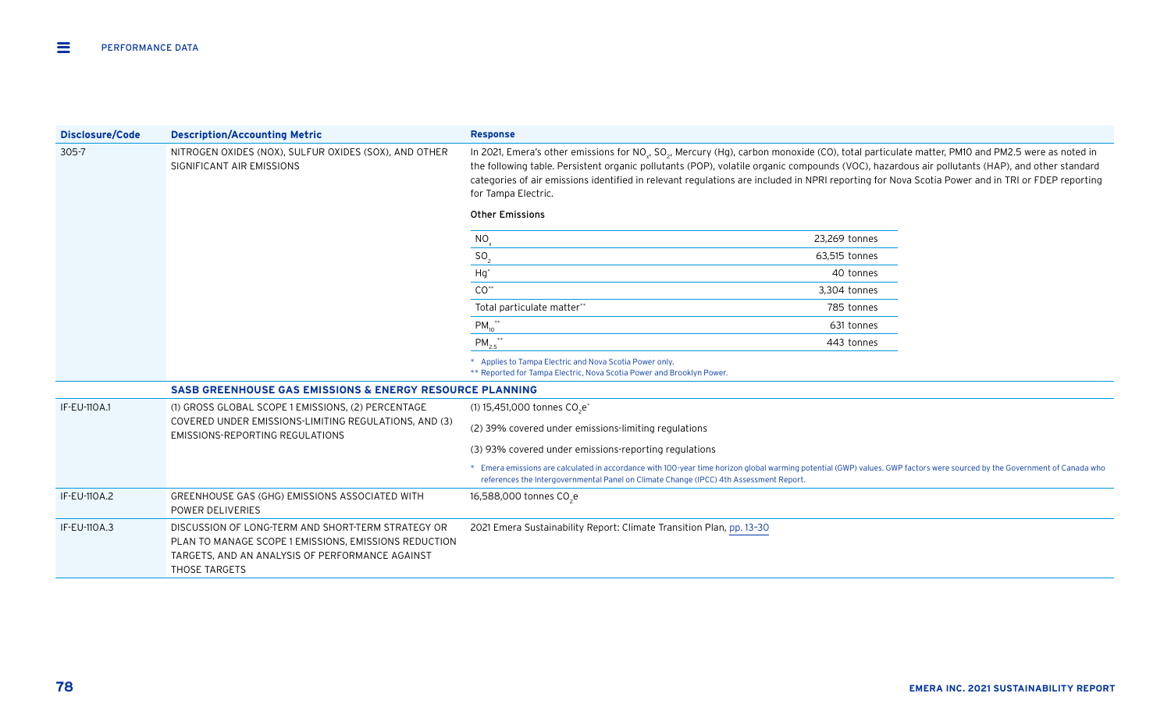| <b>Disclosure/Code</b>                                                                          | <b>Description/Accounting Metric</b>                                                                                                                                            | <b>Response</b>                                                                                                                                                                                                                                                                                                                                                                                                                                                                                                               |               |  |
|-------------------------------------------------------------------------------------------------|---------------------------------------------------------------------------------------------------------------------------------------------------------------------------------|-------------------------------------------------------------------------------------------------------------------------------------------------------------------------------------------------------------------------------------------------------------------------------------------------------------------------------------------------------------------------------------------------------------------------------------------------------------------------------------------------------------------------------|---------------|--|
| $305 - 7$<br>NITROGEN OXIDES (NOX), SULFUR OXIDES (SOX), AND OTHER<br>SIGNIFICANT AIR EMISSIONS |                                                                                                                                                                                 | In 2021, Emera's other emissions for NO <sub>v</sub> , SO <sub>2</sub> , Mercury (Hg), carbon monoxide (CO), total particulate matter, PM10 and PM2.5 were as noted in<br>the following table. Persistent organic pollutants (POP), volatile organic compounds (VOC), hazardous air pollutants (HAP), and other standard<br>categories of air emissions identified in relevant regulations are included in NPRI reporting for Nova Scotia Power and in TRI or FDEP reporting<br>for Tampa Electric.<br><b>Other Emissions</b> |               |  |
|                                                                                                 |                                                                                                                                                                                 | NO.                                                                                                                                                                                                                                                                                                                                                                                                                                                                                                                           | 23,269 tonnes |  |
|                                                                                                 |                                                                                                                                                                                 | SO <sub>2</sub>                                                                                                                                                                                                                                                                                                                                                                                                                                                                                                               | 63,515 tonnes |  |
|                                                                                                 |                                                                                                                                                                                 | $Hg^*$                                                                                                                                                                                                                                                                                                                                                                                                                                                                                                                        | 40 tonnes     |  |
|                                                                                                 |                                                                                                                                                                                 | $\mathsf{CO}^{**}$                                                                                                                                                                                                                                                                                                                                                                                                                                                                                                            | 3,304 tonnes  |  |
|                                                                                                 |                                                                                                                                                                                 | Total particulate matter**                                                                                                                                                                                                                                                                                                                                                                                                                                                                                                    | 785 tonnes    |  |
|                                                                                                 |                                                                                                                                                                                 | $PM_{10}^{\ast\ast}$                                                                                                                                                                                                                                                                                                                                                                                                                                                                                                          | 631 tonnes    |  |
|                                                                                                 |                                                                                                                                                                                 | $PM_{2.5}$ **                                                                                                                                                                                                                                                                                                                                                                                                                                                                                                                 | 443 tonnes    |  |
|                                                                                                 |                                                                                                                                                                                 | * Applies to Tampa Electric and Nova Scotia Power only.<br>** Reported for Tampa Electric, Nova Scotia Power and Brooklyn Power.                                                                                                                                                                                                                                                                                                                                                                                              |               |  |
|                                                                                                 | <b>SASB GREENHOUSE GAS EMISSIONS &amp; ENERGY RESOURCE PLANNING</b>                                                                                                             |                                                                                                                                                                                                                                                                                                                                                                                                                                                                                                                               |               |  |
| <b>IF-EU-110A.1</b>                                                                             | (1) GROSS GLOBAL SCOPE 1 EMISSIONS, (2) PERCENTAGE                                                                                                                              | (1) 15,451,000 tonnes CO <sub>2</sub> e <sup>*</sup>                                                                                                                                                                                                                                                                                                                                                                                                                                                                          |               |  |
|                                                                                                 | COVERED UNDER EMISSIONS-LIMITING REGULATIONS, AND (3)<br><b>EMISSIONS-REPORTING REGULATIONS</b>                                                                                 | (2) 39% covered under emissions-limiting regulations                                                                                                                                                                                                                                                                                                                                                                                                                                                                          |               |  |
|                                                                                                 |                                                                                                                                                                                 | (3) 93% covered under emissions-reporting regulations                                                                                                                                                                                                                                                                                                                                                                                                                                                                         |               |  |
|                                                                                                 |                                                                                                                                                                                 | * Emera emissions are calculated in accordance with 100-year time horizon global warming potential (GWP) values. GWP factors were sourced by the Government of Canada who<br>references the Intergovernmental Panel on Climate Change (IPCC) 4th Assessment Report.                                                                                                                                                                                                                                                           |               |  |
| IF-EU-110A.2                                                                                    | GREENHOUSE GAS (GHG) EMISSIONS ASSOCIATED WITH<br>POWER DELIVERIES                                                                                                              | 16,588,000 tonnes CO <sub>2</sub> e                                                                                                                                                                                                                                                                                                                                                                                                                                                                                           |               |  |
| IF-EU-110A.3                                                                                    | DISCUSSION OF LONG-TERM AND SHORT-TERM STRATEGY OR<br>PLAN TO MANAGE SCOPE 1 EMISSIONS, EMISSIONS REDUCTION<br>TARGETS, AND AN ANALYSIS OF PERFORMANCE AGAINST<br>THOSE TARGETS | 2021 Emera Sustainability Report: Climate Transition Plan, pp. 13-30                                                                                                                                                                                                                                                                                                                                                                                                                                                          |               |  |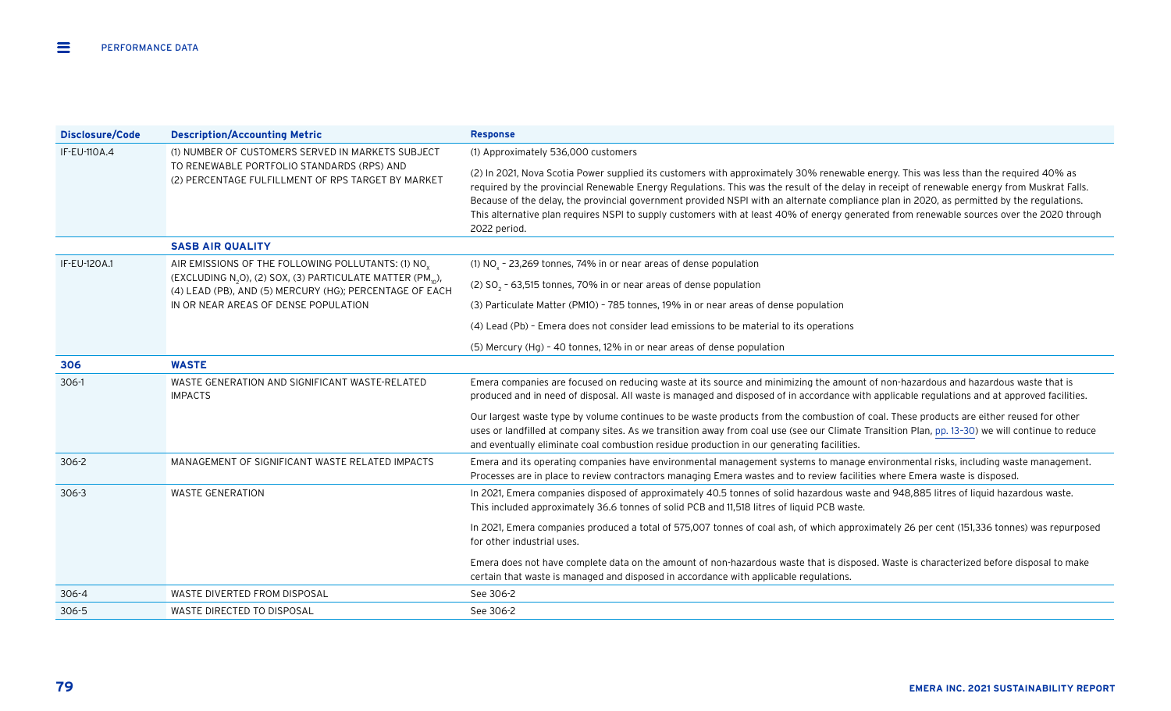| <b>Disclosure/Code</b> | <b>Description/Accounting Metric</b>                                                                                                          | <b>Response</b>                                                                                                                                                                                                                                                                                                                                                                                                                                                                                                                                                                                  |
|------------------------|-----------------------------------------------------------------------------------------------------------------------------------------------|--------------------------------------------------------------------------------------------------------------------------------------------------------------------------------------------------------------------------------------------------------------------------------------------------------------------------------------------------------------------------------------------------------------------------------------------------------------------------------------------------------------------------------------------------------------------------------------------------|
| IF-EU-110A.4           | (1) NUMBER OF CUSTOMERS SERVED IN MARKETS SUBJECT                                                                                             | (1) Approximately 536,000 customers                                                                                                                                                                                                                                                                                                                                                                                                                                                                                                                                                              |
|                        | TO RENEWABLE PORTFOLIO STANDARDS (RPS) AND<br>(2) PERCENTAGE FULFILLMENT OF RPS TARGET BY MARKET                                              | (2) In 2021, Nova Scotia Power supplied its customers with approximately 30% renewable energy. This was less than the required 40% as<br>required by the provincial Renewable Energy Regulations. This was the result of the delay in receipt of renewable energy from Muskrat Falls.<br>Because of the delay, the provincial government provided NSPI with an alternate compliance plan in 2020, as permitted by the regulations.<br>This alternative plan requires NSPI to supply customers with at least 40% of energy generated from renewable sources over the 2020 through<br>2022 period. |
|                        | <b>SASB AIR QUALITY</b>                                                                                                                       |                                                                                                                                                                                                                                                                                                                                                                                                                                                                                                                                                                                                  |
| IF-EU-120A.1           | AIR EMISSIONS OF THE FOLLOWING POLLUTANTS: (1) NO <sub>v</sub>                                                                                | (1) $NOv$ - 23,269 tonnes, 74% in or near areas of dense population                                                                                                                                                                                                                                                                                                                                                                                                                                                                                                                              |
|                        | (EXCLUDING N <sub>2</sub> O), (2) SOX, (3) PARTICULATE MATTER (PM <sub>10</sub> ),<br>(4) LEAD (PB), AND (5) MERCURY (HG); PERCENTAGE OF EACH | (2) $SO_2$ - 63,515 tonnes, 70% in or near areas of dense population                                                                                                                                                                                                                                                                                                                                                                                                                                                                                                                             |
|                        | IN OR NEAR AREAS OF DENSE POPULATION                                                                                                          | (3) Particulate Matter (PM10) - 785 tonnes, 19% in or near areas of dense population                                                                                                                                                                                                                                                                                                                                                                                                                                                                                                             |
|                        |                                                                                                                                               | (4) Lead (Pb) - Emera does not consider lead emissions to be material to its operations                                                                                                                                                                                                                                                                                                                                                                                                                                                                                                          |
|                        |                                                                                                                                               | (5) Mercury (Hg) - 40 tonnes, 12% in or near areas of dense population                                                                                                                                                                                                                                                                                                                                                                                                                                                                                                                           |
| 306                    | <b>WASTE</b>                                                                                                                                  |                                                                                                                                                                                                                                                                                                                                                                                                                                                                                                                                                                                                  |
| 306-1                  | WASTE GENERATION AND SIGNIFICANT WASTE-RELATED<br><b>IMPACTS</b>                                                                              | Emera companies are focused on reducing waste at its source and minimizing the amount of non-hazardous and hazardous waste that is<br>produced and in need of disposal. All waste is managed and disposed of in accordance with applicable regulations and at approved facilities.                                                                                                                                                                                                                                                                                                               |
|                        |                                                                                                                                               | Our largest waste type by volume continues to be waste products from the combustion of coal. These products are either reused for other<br>uses or landfilled at company sites. As we transition away from coal use (see our Climate Transition Plan, pp. 13-30) we will continue to reduce<br>and eventually eliminate coal combustion residue production in our generating facilities.                                                                                                                                                                                                         |
| 306-2                  | MANAGEMENT OF SIGNIFICANT WASTE RELATED IMPACTS                                                                                               | Emera and its operating companies have environmental management systems to manage environmental risks, including waste management.<br>Processes are in place to review contractors managing Emera wastes and to review facilities where Emera waste is disposed.                                                                                                                                                                                                                                                                                                                                 |
| $306 - 3$              | <b>WASTE GENERATION</b>                                                                                                                       | In 2021, Emera companies disposed of approximately 40.5 tonnes of solid hazardous waste and 948,885 litres of liquid hazardous waste.<br>This included approximately 36.6 tonnes of solid PCB and 11,518 litres of liquid PCB waste.                                                                                                                                                                                                                                                                                                                                                             |
|                        |                                                                                                                                               | In 2021, Emera companies produced a total of 575,007 tonnes of coal ash, of which approximately 26 per cent (151,336 tonnes) was repurposed<br>for other industrial uses.                                                                                                                                                                                                                                                                                                                                                                                                                        |
|                        |                                                                                                                                               | Emera does not have complete data on the amount of non-hazardous waste that is disposed. Waste is characterized before disposal to make<br>certain that waste is managed and disposed in accordance with applicable regulations.                                                                                                                                                                                                                                                                                                                                                                 |
| 306-4                  | WASTE DIVERTED FROM DISPOSAL                                                                                                                  | See 306-2                                                                                                                                                                                                                                                                                                                                                                                                                                                                                                                                                                                        |
| $306 - 5$              | WASTE DIRECTED TO DISPOSAL                                                                                                                    | See 306-2                                                                                                                                                                                                                                                                                                                                                                                                                                                                                                                                                                                        |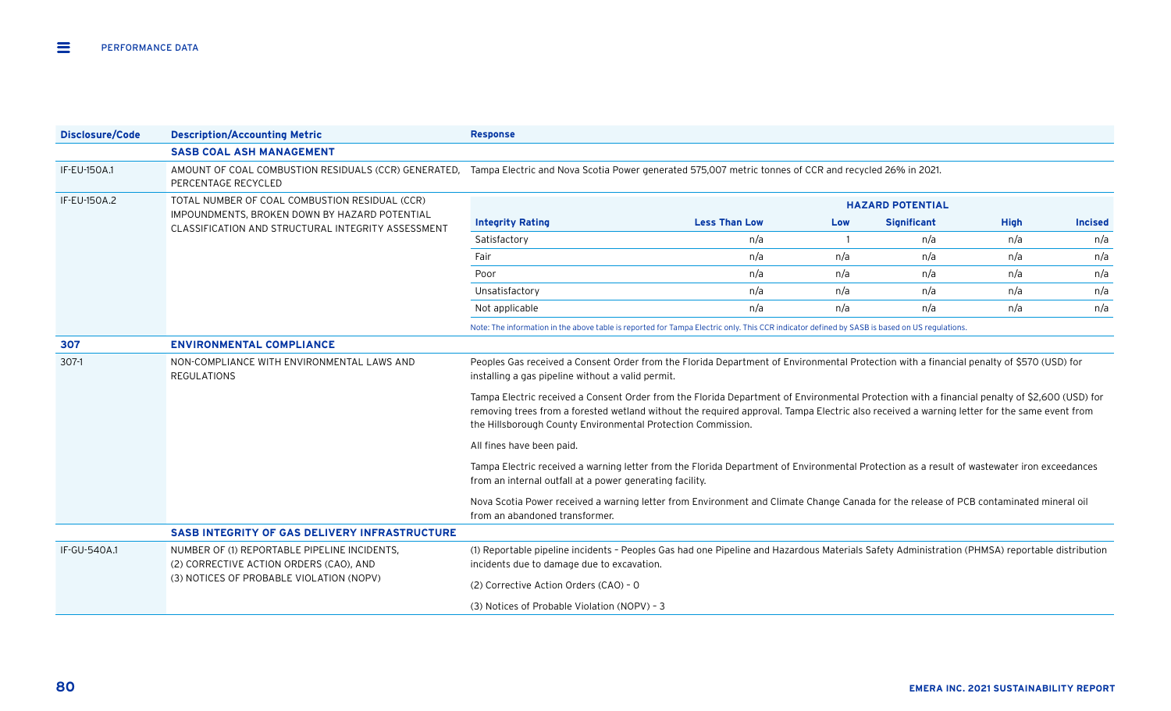| <b>Disclosure/Code</b> | <b>Description/Accounting Metric</b>                                                                                                                                              | <b>Response</b>                                                                                                                                                                                                                                                                                                                                              |                                                                                                                                                |     |                         |             |                |  |
|------------------------|-----------------------------------------------------------------------------------------------------------------------------------------------------------------------------------|--------------------------------------------------------------------------------------------------------------------------------------------------------------------------------------------------------------------------------------------------------------------------------------------------------------------------------------------------------------|------------------------------------------------------------------------------------------------------------------------------------------------|-----|-------------------------|-------------|----------------|--|
|                        | <b>SASB COAL ASH MANAGEMENT</b>                                                                                                                                                   |                                                                                                                                                                                                                                                                                                                                                              |                                                                                                                                                |     |                         |             |                |  |
| IF-EU-150A.1           | AMOUNT OF COAL COMBUSTION RESIDUALS (CCR) GENERATED, Tampa Electric and Nova Scotia Power generated 575,007 metric tonnes of CCR and recycled 26% in 2021.<br>PERCENTAGE RECYCLED |                                                                                                                                                                                                                                                                                                                                                              |                                                                                                                                                |     |                         |             |                |  |
| IF-EU-150A.2           | TOTAL NUMBER OF COAL COMBUSTION RESIDUAL (CCR)                                                                                                                                    |                                                                                                                                                                                                                                                                                                                                                              |                                                                                                                                                |     | <b>HAZARD POTENTIAL</b> |             |                |  |
|                        | IMPOUNDMENTS, BROKEN DOWN BY HAZARD POTENTIAL<br>CLASSIFICATION AND STRUCTURAL INTEGRITY ASSESSMENT                                                                               | <b>Integrity Rating</b>                                                                                                                                                                                                                                                                                                                                      | <b>Less Than Low</b>                                                                                                                           | Low | <b>Significant</b>      | <b>High</b> | <b>Incised</b> |  |
|                        |                                                                                                                                                                                   | Satisfactory                                                                                                                                                                                                                                                                                                                                                 | n/a                                                                                                                                            |     | n/a                     | n/a         | n/a            |  |
|                        |                                                                                                                                                                                   | Fair                                                                                                                                                                                                                                                                                                                                                         | n/a                                                                                                                                            | n/a | n/a                     | n/a         | n/a            |  |
|                        |                                                                                                                                                                                   | Poor                                                                                                                                                                                                                                                                                                                                                         | n/a                                                                                                                                            | n/a | n/a                     | n/a         | n/a            |  |
|                        |                                                                                                                                                                                   | Unsatisfactory                                                                                                                                                                                                                                                                                                                                               | n/a                                                                                                                                            | n/a | n/a                     | n/a         | n/a            |  |
|                        |                                                                                                                                                                                   | Not applicable                                                                                                                                                                                                                                                                                                                                               | n/a                                                                                                                                            | n/a | n/a                     | n/a         | n/a            |  |
|                        |                                                                                                                                                                                   | Note: The information in the above table is reported for Tampa Electric only. This CCR indicator defined by SASB is based on US regulations.                                                                                                                                                                                                                 |                                                                                                                                                |     |                         |             |                |  |
| 307                    | <b>ENVIRONMENTAL COMPLIANCE</b>                                                                                                                                                   |                                                                                                                                                                                                                                                                                                                                                              |                                                                                                                                                |     |                         |             |                |  |
| $307-1$                | NON-COMPLIANCE WITH ENVIRONMENTAL LAWS AND<br><b>REGULATIONS</b>                                                                                                                  | Peoples Gas received a Consent Order from the Florida Department of Environmental Protection with a financial penalty of \$570 (USD) for<br>installing a gas pipeline without a valid permit.                                                                                                                                                                |                                                                                                                                                |     |                         |             |                |  |
|                        |                                                                                                                                                                                   | Tampa Electric received a Consent Order from the Florida Department of Environmental Protection with a financial penalty of \$2,600 (USD) for<br>removing trees from a forested wetland without the required approval. Tampa Electric also received a warning letter for the same event from<br>the Hillsborough County Environmental Protection Commission. |                                                                                                                                                |     |                         |             |                |  |
|                        |                                                                                                                                                                                   | All fines have been paid.                                                                                                                                                                                                                                                                                                                                    |                                                                                                                                                |     |                         |             |                |  |
|                        |                                                                                                                                                                                   | from an internal outfall at a power generating facility.                                                                                                                                                                                                                                                                                                     | Tampa Electric received a warning letter from the Florida Department of Environmental Protection as a result of wastewater iron exceedances    |     |                         |             |                |  |
|                        |                                                                                                                                                                                   | Nova Scotia Power received a warning letter from Environment and Climate Change Canada for the release of PCB contaminated mineral oil<br>from an abandoned transformer.                                                                                                                                                                                     |                                                                                                                                                |     |                         |             |                |  |
|                        | SASB INTEGRITY OF GAS DELIVERY INFRASTRUCTURE                                                                                                                                     |                                                                                                                                                                                                                                                                                                                                                              |                                                                                                                                                |     |                         |             |                |  |
| IF-GU-540A.1           | NUMBER OF (1) REPORTABLE PIPELINE INCIDENTS,<br>(2) CORRECTIVE ACTION ORDERS (CAO), AND                                                                                           | incidents due to damage due to excavation.                                                                                                                                                                                                                                                                                                                   | (1) Reportable pipeline incidents - Peoples Gas had one Pipeline and Hazardous Materials Safety Administration (PHMSA) reportable distribution |     |                         |             |                |  |
|                        | (3) NOTICES OF PROBABLE VIOLATION (NOPV)                                                                                                                                          | (2) Corrective Action Orders (CAO) - 0                                                                                                                                                                                                                                                                                                                       |                                                                                                                                                |     |                         |             |                |  |
|                        |                                                                                                                                                                                   | (3) Notices of Probable Violation (NOPV) - 3                                                                                                                                                                                                                                                                                                                 |                                                                                                                                                |     |                         |             |                |  |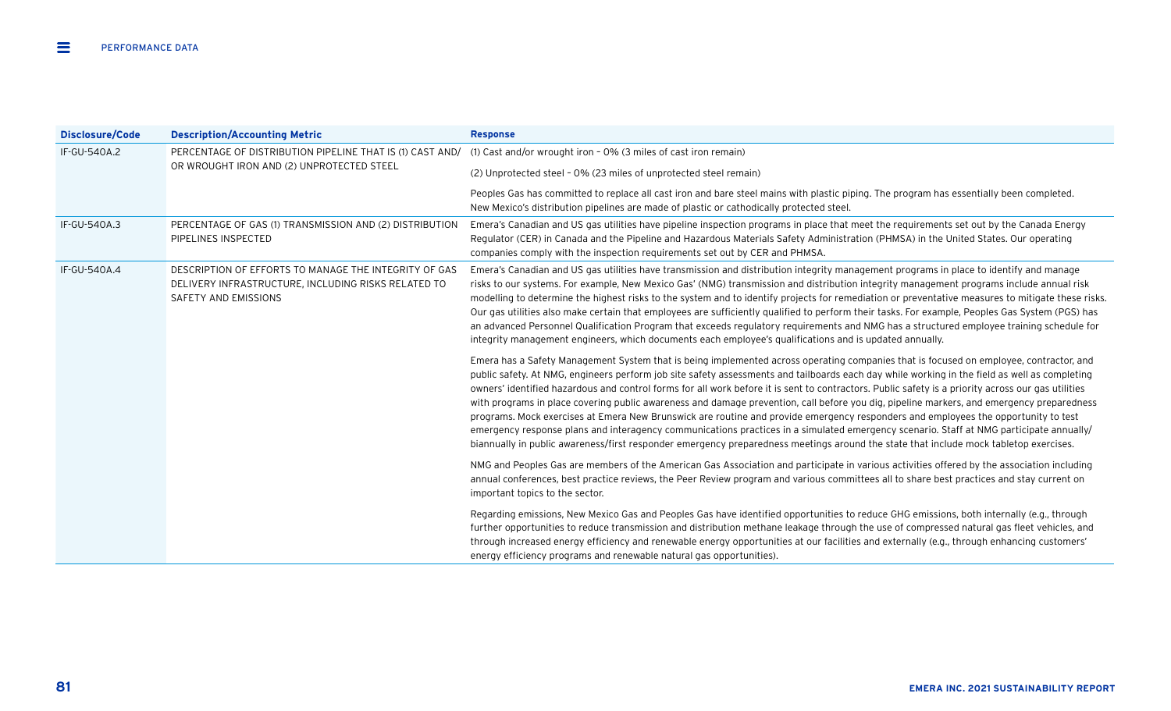| Disclosure/Code | <b>Description/Accounting Metric</b>                                                                                                 | <b>Response</b>                                                                                                                                                                                                                                                                                                                                                                                                                                                                                                                                                                                                                                                                                                                                                                                                                                                                                                                                                                                                      |
|-----------------|--------------------------------------------------------------------------------------------------------------------------------------|----------------------------------------------------------------------------------------------------------------------------------------------------------------------------------------------------------------------------------------------------------------------------------------------------------------------------------------------------------------------------------------------------------------------------------------------------------------------------------------------------------------------------------------------------------------------------------------------------------------------------------------------------------------------------------------------------------------------------------------------------------------------------------------------------------------------------------------------------------------------------------------------------------------------------------------------------------------------------------------------------------------------|
| IF-GU-540A.2    | PERCENTAGE OF DISTRIBUTION PIPELINE THAT IS (1) CAST AND/                                                                            | (1) Cast and/or wrought iron - 0% (3 miles of cast iron remain)                                                                                                                                                                                                                                                                                                                                                                                                                                                                                                                                                                                                                                                                                                                                                                                                                                                                                                                                                      |
|                 | OR WROUGHT IRON AND (2) UNPROTECTED STEEL                                                                                            | (2) Unprotected steel - 0% (23 miles of unprotected steel remain)                                                                                                                                                                                                                                                                                                                                                                                                                                                                                                                                                                                                                                                                                                                                                                                                                                                                                                                                                    |
|                 |                                                                                                                                      | Peoples Gas has committed to replace all cast iron and bare steel mains with plastic piping. The program has essentially been completed.<br>New Mexico's distribution pipelines are made of plastic or cathodically protected steel.                                                                                                                                                                                                                                                                                                                                                                                                                                                                                                                                                                                                                                                                                                                                                                                 |
| IF-GU-540A.3    | PERCENTAGE OF GAS (1) TRANSMISSION AND (2) DISTRIBUTION<br>PIPELINES INSPECTED                                                       | Emera's Canadian and US gas utilities have pipeline inspection programs in place that meet the requirements set out by the Canada Energy<br>Regulator (CER) in Canada and the Pipeline and Hazardous Materials Safety Administration (PHMSA) in the United States. Our operating<br>companies comply with the inspection requirements set out by CER and PHMSA.                                                                                                                                                                                                                                                                                                                                                                                                                                                                                                                                                                                                                                                      |
| IF-GU-540A.4    | DESCRIPTION OF EFFORTS TO MANAGE THE INTEGRITY OF GAS<br>DELIVERY INFRASTRUCTURE, INCLUDING RISKS RELATED TO<br>SAFETY AND EMISSIONS | Emera's Canadian and US gas utilities have transmission and distribution integrity management programs in place to identify and manage<br>risks to our systems. For example, New Mexico Gas' (NMG) transmission and distribution integrity management programs include annual risk<br>modelling to determine the highest risks to the system and to identify projects for remediation or preventative measures to mitigate these risks.<br>Our gas utilities also make certain that employees are sufficiently qualified to perform their tasks. For example, Peoples Gas System (PGS) has<br>an advanced Personnel Qualification Program that exceeds regulatory requirements and NMG has a structured employee training schedule for<br>integrity management engineers, which documents each employee's qualifications and is updated annually.                                                                                                                                                                    |
|                 |                                                                                                                                      | Emera has a Safety Management System that is being implemented across operating companies that is focused on employee, contractor, and<br>public safety. At NMG, engineers perform job site safety assessments and tailboards each day while working in the field as well as completing<br>owners' identified hazardous and control forms for all work before it is sent to contractors. Public safety is a priority across our gas utilities<br>with programs in place covering public awareness and damage prevention, call before you dig, pipeline markers, and emergency preparedness<br>programs. Mock exercises at Emera New Brunswick are routine and provide emergency responders and employees the opportunity to test<br>emergency response plans and interagency communications practices in a simulated emergency scenario. Staff at NMG participate annually/<br>biannually in public awareness/first responder emergency preparedness meetings around the state that include mock tabletop exercises. |
|                 |                                                                                                                                      | NMG and Peoples Gas are members of the American Gas Association and participate in various activities offered by the association including<br>annual conferences, best practice reviews, the Peer Review program and various committees all to share best practices and stay current on<br>important topics to the sector.                                                                                                                                                                                                                                                                                                                                                                                                                                                                                                                                                                                                                                                                                           |
|                 |                                                                                                                                      | Regarding emissions, New Mexico Gas and Peoples Gas have identified opportunities to reduce GHG emissions, both internally (e.g., through<br>further opportunities to reduce transmission and distribution methane leakage through the use of compressed natural gas fleet vehicles, and<br>through increased energy efficiency and renewable energy opportunities at our facilities and externally (e.g., through enhancing customers'<br>energy efficiency programs and renewable natural gas opportunities).                                                                                                                                                                                                                                                                                                                                                                                                                                                                                                      |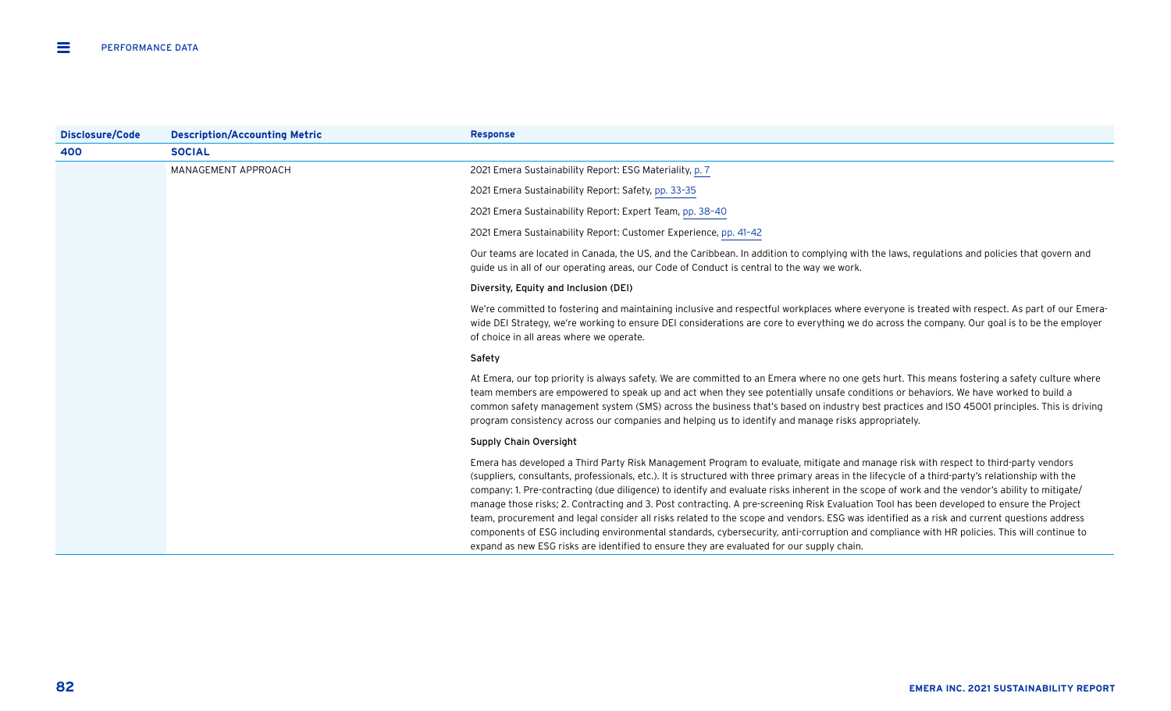| Disclosure/Code | <b>Description/Accounting Metric</b> | <b>Response</b>                                                                                                                                                                                                                                                                                                                                                                                                                                                                                                                                                                                                                                                                                                                                                                                                                                                                                                                                                                    |
|-----------------|--------------------------------------|------------------------------------------------------------------------------------------------------------------------------------------------------------------------------------------------------------------------------------------------------------------------------------------------------------------------------------------------------------------------------------------------------------------------------------------------------------------------------------------------------------------------------------------------------------------------------------------------------------------------------------------------------------------------------------------------------------------------------------------------------------------------------------------------------------------------------------------------------------------------------------------------------------------------------------------------------------------------------------|
| 400             | <b>SOCIAL</b>                        |                                                                                                                                                                                                                                                                                                                                                                                                                                                                                                                                                                                                                                                                                                                                                                                                                                                                                                                                                                                    |
|                 | MANAGEMENT APPROACH                  | 2021 Emera Sustainability Report: ESG Materiality, p. 7                                                                                                                                                                                                                                                                                                                                                                                                                                                                                                                                                                                                                                                                                                                                                                                                                                                                                                                            |
|                 |                                      | 2021 Emera Sustainability Report: Safety, pp. 33-35                                                                                                                                                                                                                                                                                                                                                                                                                                                                                                                                                                                                                                                                                                                                                                                                                                                                                                                                |
|                 |                                      | 2021 Emera Sustainability Report: Expert Team, pp. 38-40                                                                                                                                                                                                                                                                                                                                                                                                                                                                                                                                                                                                                                                                                                                                                                                                                                                                                                                           |
|                 |                                      | 2021 Emera Sustainability Report: Customer Experience, pp. 41-42                                                                                                                                                                                                                                                                                                                                                                                                                                                                                                                                                                                                                                                                                                                                                                                                                                                                                                                   |
|                 |                                      | Our teams are located in Canada, the US, and the Caribbean. In addition to complying with the laws, regulations and policies that govern and<br>guide us in all of our operating areas, our Code of Conduct is central to the way we work.                                                                                                                                                                                                                                                                                                                                                                                                                                                                                                                                                                                                                                                                                                                                         |
|                 |                                      | Diversity, Equity and Inclusion (DEI)                                                                                                                                                                                                                                                                                                                                                                                                                                                                                                                                                                                                                                                                                                                                                                                                                                                                                                                                              |
|                 |                                      | We're committed to fostering and maintaining inclusive and respectful workplaces where everyone is treated with respect. As part of our Emera-<br>wide DEI Strategy, we're working to ensure DEI considerations are core to everything we do across the company. Our goal is to be the employer<br>of choice in all areas where we operate.                                                                                                                                                                                                                                                                                                                                                                                                                                                                                                                                                                                                                                        |
|                 |                                      | Safety                                                                                                                                                                                                                                                                                                                                                                                                                                                                                                                                                                                                                                                                                                                                                                                                                                                                                                                                                                             |
|                 |                                      | At Emera, our top priority is always safety. We are committed to an Emera where no one gets hurt. This means fostering a safety culture where<br>team members are empowered to speak up and act when they see potentially unsafe conditions or behaviors. We have worked to build a<br>common safety management system (SMS) across the business that's based on industry best practices and ISO 45001 principles. This is driving<br>program consistency across our companies and helping us to identify and manage risks appropriately.                                                                                                                                                                                                                                                                                                                                                                                                                                          |
|                 |                                      | Supply Chain Oversight                                                                                                                                                                                                                                                                                                                                                                                                                                                                                                                                                                                                                                                                                                                                                                                                                                                                                                                                                             |
|                 |                                      | Emera has developed a Third Party Risk Management Program to evaluate, mitigate and manage risk with respect to third-party vendors<br>(suppliers, consultants, professionals, etc.). It is structured with three primary areas in the lifecycle of a third-party's relationship with the<br>company: 1. Pre-contracting (due diligence) to identify and evaluate risks inherent in the scope of work and the vendor's ability to mitigate/<br>manage those risks; 2. Contracting and 3. Post contracting. A pre-screening Risk Evaluation Tool has been developed to ensure the Project<br>team, procurement and legal consider all risks related to the scope and vendors. ESG was identified as a risk and current questions address<br>components of ESG including environmental standards, cybersecurity, anti-corruption and compliance with HR policies. This will continue to<br>expand as new ESG risks are identified to ensure they are evaluated for our supply chain. |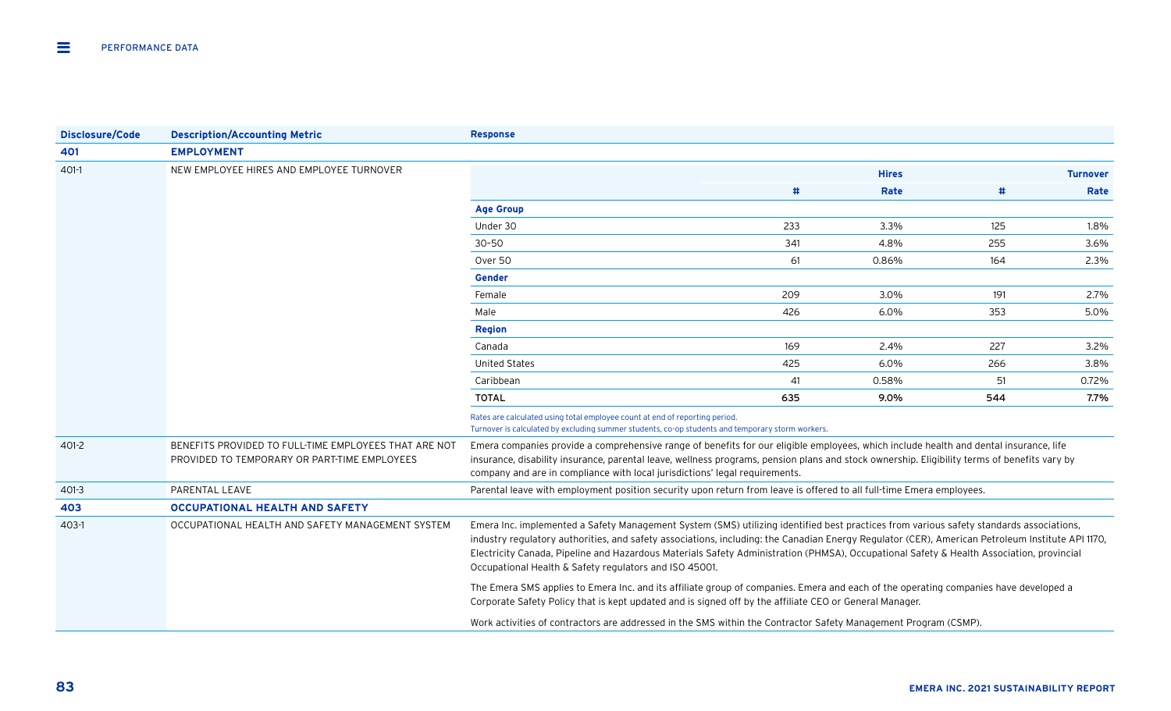| <b>Disclosure/Code</b> | <b>Description/Accounting Metric</b>                                                                  | <b>Response</b>                                                                                                                                                                                                                                                                                                                                                                                                                                                                                   |     |              |     |                 |  |  |
|------------------------|-------------------------------------------------------------------------------------------------------|---------------------------------------------------------------------------------------------------------------------------------------------------------------------------------------------------------------------------------------------------------------------------------------------------------------------------------------------------------------------------------------------------------------------------------------------------------------------------------------------------|-----|--------------|-----|-----------------|--|--|
| 401                    | <b>EMPLOYMENT</b>                                                                                     |                                                                                                                                                                                                                                                                                                                                                                                                                                                                                                   |     |              |     |                 |  |  |
| $401-1$                | NEW EMPLOYEE HIRES AND EMPLOYEE TURNOVER                                                              |                                                                                                                                                                                                                                                                                                                                                                                                                                                                                                   |     | <b>Hires</b> |     | <b>Turnover</b> |  |  |
|                        |                                                                                                       |                                                                                                                                                                                                                                                                                                                                                                                                                                                                                                   | #   | Rate         | #   | Rate            |  |  |
|                        |                                                                                                       | <b>Age Group</b>                                                                                                                                                                                                                                                                                                                                                                                                                                                                                  |     |              |     |                 |  |  |
|                        |                                                                                                       | Under 30                                                                                                                                                                                                                                                                                                                                                                                                                                                                                          | 233 | 3.3%         | 125 | 1.8%            |  |  |
|                        |                                                                                                       | $30 - 50$                                                                                                                                                                                                                                                                                                                                                                                                                                                                                         | 341 | 4.8%         | 255 | 3.6%            |  |  |
|                        |                                                                                                       | Over 50                                                                                                                                                                                                                                                                                                                                                                                                                                                                                           | 61  | 0.86%        | 164 | 2.3%            |  |  |
|                        |                                                                                                       | <b>Gender</b>                                                                                                                                                                                                                                                                                                                                                                                                                                                                                     |     |              |     |                 |  |  |
|                        |                                                                                                       | Female                                                                                                                                                                                                                                                                                                                                                                                                                                                                                            | 209 | 3.0%         | 191 | 2.7%            |  |  |
|                        |                                                                                                       | Male                                                                                                                                                                                                                                                                                                                                                                                                                                                                                              | 426 | 6.0%         | 353 | 5.0%            |  |  |
|                        |                                                                                                       | <b>Region</b>                                                                                                                                                                                                                                                                                                                                                                                                                                                                                     |     |              |     |                 |  |  |
|                        |                                                                                                       | Canada                                                                                                                                                                                                                                                                                                                                                                                                                                                                                            | 169 | 2.4%         | 227 | 3.2%            |  |  |
|                        |                                                                                                       | <b>United States</b>                                                                                                                                                                                                                                                                                                                                                                                                                                                                              | 425 | 6.0%         | 266 | 3.8%            |  |  |
|                        |                                                                                                       | Caribbean                                                                                                                                                                                                                                                                                                                                                                                                                                                                                         | 41  | 0.58%        | 51  | 0.72%           |  |  |
|                        |                                                                                                       | <b>TOTAL</b>                                                                                                                                                                                                                                                                                                                                                                                                                                                                                      | 635 | 9.0%         | 544 | 7.7%            |  |  |
|                        |                                                                                                       | Rates are calculated using total employee count at end of reporting period.<br>Turnover is calculated by excluding summer students, co-op students and temporary storm workers.                                                                                                                                                                                                                                                                                                                   |     |              |     |                 |  |  |
| 401-2                  | BENEFITS PROVIDED TO FULL-TIME EMPLOYEES THAT ARE NOT<br>PROVIDED TO TEMPORARY OR PART-TIME EMPLOYEES | Emera companies provide a comprehensive range of benefits for our eligible employees, which include health and dental insurance, life<br>insurance, disability insurance, parental leave, wellness programs, pension plans and stock ownership. Eligibility terms of benefits vary by<br>company and are in compliance with local jurisdictions' legal requirements.                                                                                                                              |     |              |     |                 |  |  |
| $401-3$                | PARENTAL LEAVE                                                                                        | Parental leave with employment position security upon return from leave is offered to all full-time Emera employees.                                                                                                                                                                                                                                                                                                                                                                              |     |              |     |                 |  |  |
| 403                    | <b>OCCUPATIONAL HEALTH AND SAFETY</b>                                                                 |                                                                                                                                                                                                                                                                                                                                                                                                                                                                                                   |     |              |     |                 |  |  |
| 403-1                  | OCCUPATIONAL HEALTH AND SAFETY MANAGEMENT SYSTEM                                                      | Emera Inc. implemented a Safety Management System (SMS) utilizing identified best practices from various safety standards associations,<br>industry regulatory authorities, and safety associations, including: the Canadian Energy Regulator (CER), American Petroleum Institute API 1170,<br>Electricity Canada, Pipeline and Hazardous Materials Safety Administration (PHMSA), Occupational Safety & Health Association, provincial<br>Occupational Health & Safety regulators and ISO 45001. |     |              |     |                 |  |  |
|                        |                                                                                                       | The Emera SMS applies to Emera Inc. and its affiliate group of companies. Emera and each of the operating companies have developed a<br>Corporate Safety Policy that is kept updated and is signed off by the affiliate CEO or General Manager.                                                                                                                                                                                                                                                   |     |              |     |                 |  |  |
|                        |                                                                                                       | Work activities of contractors are addressed in the SMS within the Contractor Safety Management Program (CSMP).                                                                                                                                                                                                                                                                                                                                                                                   |     |              |     |                 |  |  |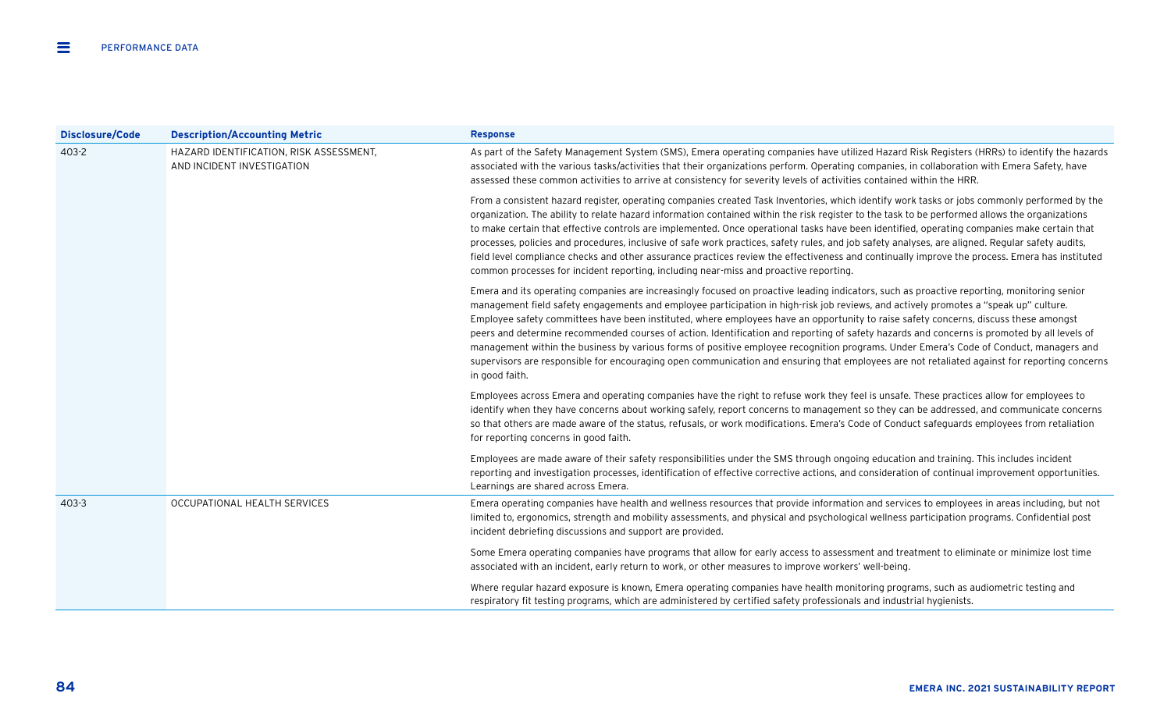| <b>Disclosure/Code</b> | <b>Description/Accounting Metric</b>                                  | <b>Response</b>                                                                                                                                                                                                                                                                                                                                                                                                                                                                                                                                                                                                                                                                                                                                                                                                                                                                       |
|------------------------|-----------------------------------------------------------------------|---------------------------------------------------------------------------------------------------------------------------------------------------------------------------------------------------------------------------------------------------------------------------------------------------------------------------------------------------------------------------------------------------------------------------------------------------------------------------------------------------------------------------------------------------------------------------------------------------------------------------------------------------------------------------------------------------------------------------------------------------------------------------------------------------------------------------------------------------------------------------------------|
| 403-2                  | HAZARD IDENTIFICATION, RISK ASSESSMENT,<br>AND INCIDENT INVESTIGATION | As part of the Safety Management System (SMS), Emera operating companies have utilized Hazard Risk Registers (HRRs) to identify the hazards<br>associated with the various tasks/activities that their organizations perform. Operating companies, in collaboration with Emera Safety, have<br>assessed these common activities to arrive at consistency for severity levels of activities contained within the HRR.                                                                                                                                                                                                                                                                                                                                                                                                                                                                  |
|                        |                                                                       | From a consistent hazard register, operating companies created Task Inventories, which identify work tasks or jobs commonly performed by the<br>organization. The ability to relate hazard information contained within the risk register to the task to be performed allows the organizations<br>to make certain that effective controls are implemented. Once operational tasks have been identified, operating companies make certain that<br>processes, policies and procedures, inclusive of safe work practices, safety rules, and job safety analyses, are aligned. Regular safety audits,<br>field level compliance checks and other assurance practices review the effectiveness and continually improve the process. Emera has instituted<br>common processes for incident reporting, including near-miss and proactive reporting.                                          |
|                        |                                                                       | Emera and its operating companies are increasingly focused on proactive leading indicators, such as proactive reporting, monitoring senior<br>management field safety engagements and employee participation in high-risk job reviews, and actively promotes a "speak up" culture.<br>Employee safety committees have been instituted, where employees have an opportunity to raise safety concerns, discuss these amongst<br>peers and determine recommended courses of action. Identification and reporting of safety hazards and concerns is promoted by all levels of<br>management within the business by various forms of positive employee recognition programs. Under Emera's Code of Conduct, managers and<br>supervisors are responsible for encouraging open communication and ensuring that employees are not retaliated against for reporting concerns<br>in good faith. |
|                        |                                                                       | Employees across Emera and operating companies have the right to refuse work they feel is unsafe. These practices allow for employees to<br>identify when they have concerns about working safely, report concerns to management so they can be addressed, and communicate concerns<br>so that others are made aware of the status, refusals, or work modifications. Emera's Code of Conduct safeguards employees from retaliation<br>for reporting concerns in good faith.                                                                                                                                                                                                                                                                                                                                                                                                           |
|                        |                                                                       | Employees are made aware of their safety responsibilities under the SMS through ongoing education and training. This includes incident<br>reporting and investigation processes, identification of effective corrective actions, and consideration of continual improvement opportunities.<br>Learnings are shared across Emera.                                                                                                                                                                                                                                                                                                                                                                                                                                                                                                                                                      |
| $403 - 3$              | OCCUPATIONAL HEALTH SERVICES                                          | Emera operating companies have health and wellness resources that provide information and services to employees in areas including, but not<br>limited to, ergonomics, strength and mobility assessments, and physical and psychological wellness participation programs. Confidential post<br>incident debriefing discussions and support are provided.                                                                                                                                                                                                                                                                                                                                                                                                                                                                                                                              |
|                        |                                                                       | Some Emera operating companies have programs that allow for early access to assessment and treatment to eliminate or minimize lost time<br>associated with an incident, early return to work, or other measures to improve workers' well-being.                                                                                                                                                                                                                                                                                                                                                                                                                                                                                                                                                                                                                                       |
|                        |                                                                       | Where regular hazard exposure is known, Emera operating companies have health monitoring programs, such as audiometric testing and<br>respiratory fit testing programs, which are administered by certified safety professionals and industrial hygienists.                                                                                                                                                                                                                                                                                                                                                                                                                                                                                                                                                                                                                           |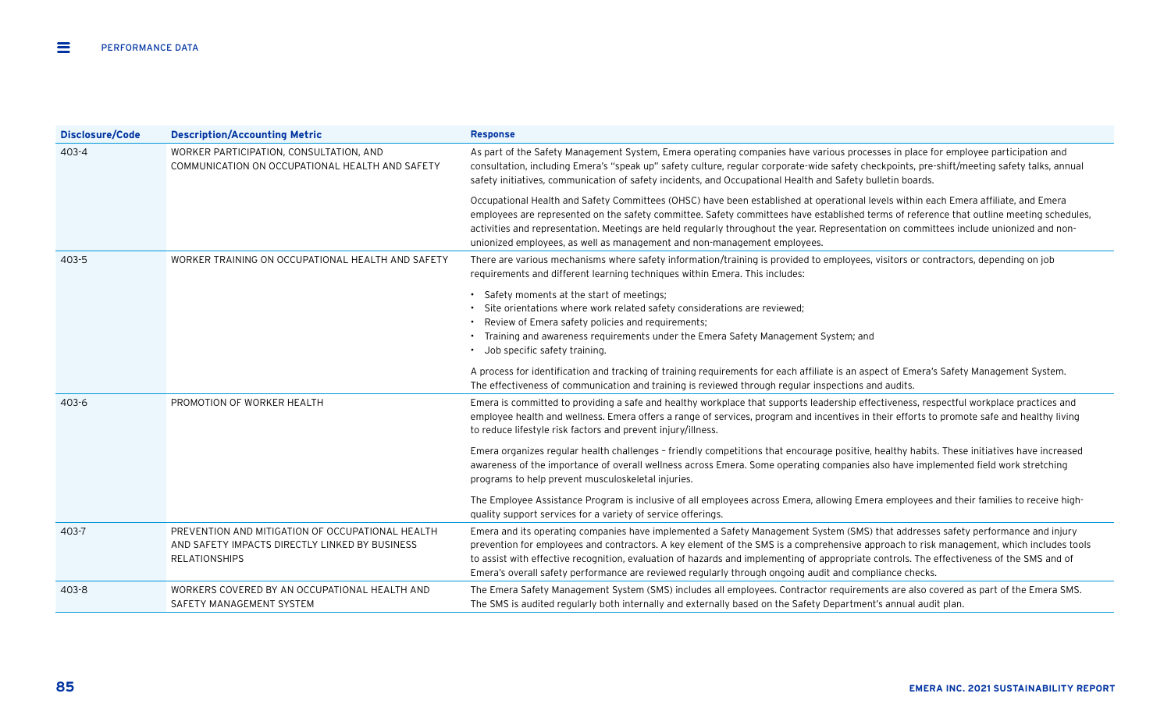| <b>Disclosure/Code</b> | <b>Description/Accounting Metric</b>                                                                                       | <b>Response</b>                                                                                                                                                                                                                                                                                                                                                                                                                                                                                                                    |
|------------------------|----------------------------------------------------------------------------------------------------------------------------|------------------------------------------------------------------------------------------------------------------------------------------------------------------------------------------------------------------------------------------------------------------------------------------------------------------------------------------------------------------------------------------------------------------------------------------------------------------------------------------------------------------------------------|
| $403 - 4$              | WORKER PARTICIPATION, CONSULTATION, AND<br>COMMUNICATION ON OCCUPATIONAL HEALTH AND SAFETY                                 | As part of the Safety Management System, Emera operating companies have various processes in place for employee participation and<br>consultation, including Emera's "speak up" safety culture, regular corporate-wide safety checkpoints, pre-shift/meeting safety talks, annual<br>safety initiatives, communication of safety incidents, and Occupational Health and Safety bulletin boards.                                                                                                                                    |
|                        |                                                                                                                            | Occupational Health and Safety Committees (OHSC) have been established at operational levels within each Emera affiliate, and Emera<br>employees are represented on the safety committee. Safety committees have established terms of reference that outline meeting schedules,<br>activities and representation. Meetings are held regularly throughout the year. Representation on committees include unionized and non-<br>unionized employees, as well as management and non-management employees.                             |
| $403 - 5$              | WORKER TRAINING ON OCCUPATIONAL HEALTH AND SAFETY                                                                          | There are various mechanisms where safety information/training is provided to employees, visitors or contractors, depending on job<br>requirements and different learning techniques within Emera. This includes:                                                                                                                                                                                                                                                                                                                  |
|                        |                                                                                                                            | • Safety moments at the start of meetings;<br>Site orientations where work related safety considerations are reviewed;<br>• Review of Emera safety policies and requirements;<br>Training and awareness requirements under the Emera Safety Management System; and<br>Job specific safety training.<br>$\bullet$                                                                                                                                                                                                                   |
|                        |                                                                                                                            | A process for identification and tracking of training requirements for each affiliate is an aspect of Emera's Safety Management System.<br>The effectiveness of communication and training is reviewed through regular inspections and audits.                                                                                                                                                                                                                                                                                     |
| $403 - 6$              | PROMOTION OF WORKER HEALTH                                                                                                 | Emera is committed to providing a safe and healthy workplace that supports leadership effectiveness, respectful workplace practices and<br>employee health and wellness. Emera offers a range of services, program and incentives in their efforts to promote safe and healthy living<br>to reduce lifestyle risk factors and prevent injury/illness.                                                                                                                                                                              |
|                        |                                                                                                                            | Emera organizes regular health challenges - friendly competitions that encourage positive, healthy habits. These initiatives have increased<br>awareness of the importance of overall wellness across Emera. Some operating companies also have implemented field work stretching<br>programs to help prevent musculoskeletal injuries.                                                                                                                                                                                            |
|                        |                                                                                                                            | The Employee Assistance Program is inclusive of all employees across Emera, allowing Emera employees and their families to receive high-<br>quality support services for a variety of service offerings.                                                                                                                                                                                                                                                                                                                           |
| 403-7                  | PREVENTION AND MITIGATION OF OCCUPATIONAL HEALTH<br>AND SAFETY IMPACTS DIRECTLY LINKED BY BUSINESS<br><b>RELATIONSHIPS</b> | Emera and its operating companies have implemented a Safety Management System (SMS) that addresses safety performance and injury<br>prevention for employees and contractors. A key element of the SMS is a comprehensive approach to risk management, which includes tools<br>to assist with effective recognition, evaluation of hazards and implementing of appropriate controls. The effectiveness of the SMS and of<br>Emera's overall safety performance are reviewed regularly through ongoing audit and compliance checks. |
| 403-8                  | WORKERS COVERED BY AN OCCUPATIONAL HEALTH AND<br>SAFETY MANAGEMENT SYSTEM                                                  | The Emera Safety Management System (SMS) includes all employees. Contractor requirements are also covered as part of the Emera SMS.<br>The SMS is audited regularly both internally and externally based on the Safety Department's annual audit plan.                                                                                                                                                                                                                                                                             |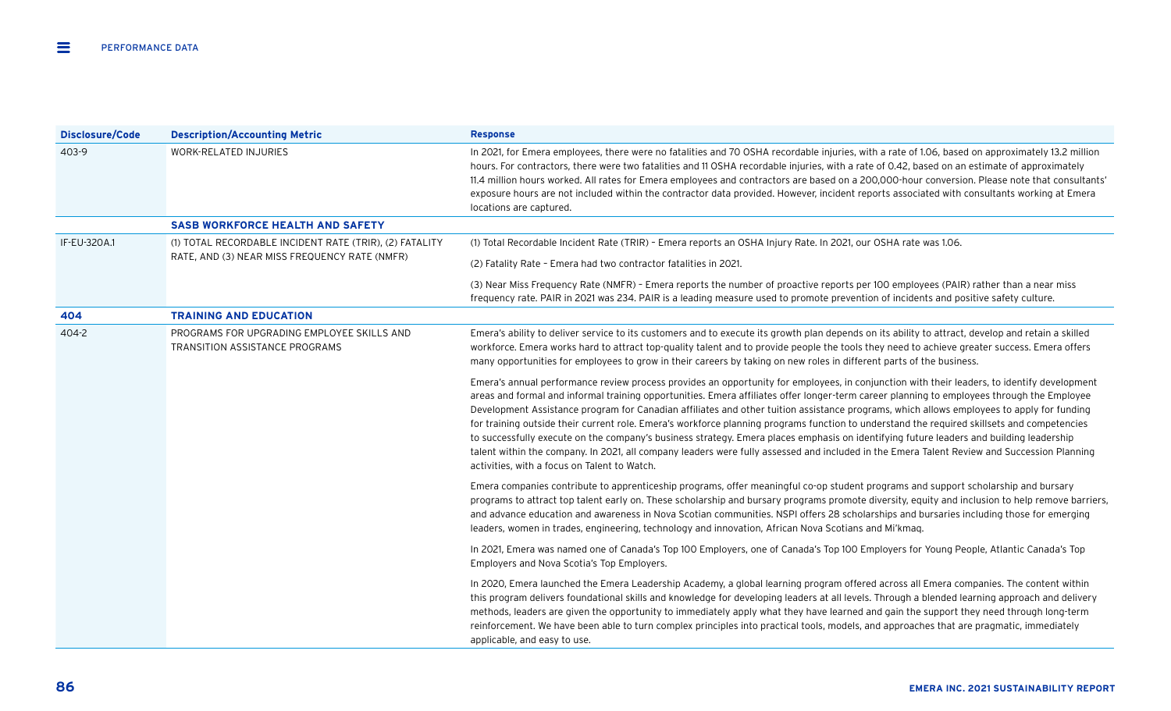| <b>Disclosure/Code</b> | <b>Description/Accounting Metric</b>                                         | <b>Response</b>                                                                                                                                                                                                                                                                                                                                                                                                                                                                                                                                                                                                                                                                                                                                                                                                                                                                                                                 |
|------------------------|------------------------------------------------------------------------------|---------------------------------------------------------------------------------------------------------------------------------------------------------------------------------------------------------------------------------------------------------------------------------------------------------------------------------------------------------------------------------------------------------------------------------------------------------------------------------------------------------------------------------------------------------------------------------------------------------------------------------------------------------------------------------------------------------------------------------------------------------------------------------------------------------------------------------------------------------------------------------------------------------------------------------|
| 403-9                  | <b>WORK-RELATED INJURIES</b>                                                 | In 2021, for Emera employees, there were no fatalities and 70 OSHA recordable injuries, with a rate of 1.06, based on approximately 13.2 million<br>hours. For contractors, there were two fatalities and 11 OSHA recordable injuries, with a rate of 0.42, based on an estimate of approximately<br>11.4 million hours worked. All rates for Emera employees and contractors are based on a 200,000-hour conversion. Please note that consultants'<br>exposure hours are not included within the contractor data provided. However, incident reports associated with consultants working at Emera<br>locations are captured.                                                                                                                                                                                                                                                                                                   |
|                        | <b>SASB WORKFORCE HEALTH AND SAFETY</b>                                      |                                                                                                                                                                                                                                                                                                                                                                                                                                                                                                                                                                                                                                                                                                                                                                                                                                                                                                                                 |
| IF-EU-320A.1           | (1) TOTAL RECORDABLE INCIDENT RATE (TRIR), (2) FATALITY                      | (1) Total Recordable Incident Rate (TRIR) - Emera reports an OSHA Injury Rate. In 2021, our OSHA rate was 1.06.                                                                                                                                                                                                                                                                                                                                                                                                                                                                                                                                                                                                                                                                                                                                                                                                                 |
|                        | RATE, AND (3) NEAR MISS FREQUENCY RATE (NMFR)                                | (2) Fatality Rate - Emera had two contractor fatalities in 2021.                                                                                                                                                                                                                                                                                                                                                                                                                                                                                                                                                                                                                                                                                                                                                                                                                                                                |
|                        |                                                                              | (3) Near Miss Frequency Rate (NMFR) - Emera reports the number of proactive reports per 100 employees (PAIR) rather than a near miss<br>frequency rate. PAIR in 2021 was 234. PAIR is a leading measure used to promote prevention of incidents and positive safety culture.                                                                                                                                                                                                                                                                                                                                                                                                                                                                                                                                                                                                                                                    |
| 404                    | <b>TRAINING AND EDUCATION</b>                                                |                                                                                                                                                                                                                                                                                                                                                                                                                                                                                                                                                                                                                                                                                                                                                                                                                                                                                                                                 |
| 404-2                  | PROGRAMS FOR UPGRADING EMPLOYEE SKILLS AND<br>TRANSITION ASSISTANCE PROGRAMS | Emera's ability to deliver service to its customers and to execute its growth plan depends on its ability to attract, develop and retain a skilled<br>workforce. Emera works hard to attract top-quality talent and to provide people the tools they need to achieve greater success. Emera offers<br>many opportunities for employees to grow in their careers by taking on new roles in different parts of the business.                                                                                                                                                                                                                                                                                                                                                                                                                                                                                                      |
|                        |                                                                              | Emera's annual performance review process provides an opportunity for employees, in conjunction with their leaders, to identify development<br>areas and formal and informal training opportunities. Emera affiliates offer longer-term career planning to employees through the Employee<br>Development Assistance program for Canadian affiliates and other tuition assistance programs, which allows employees to apply for funding<br>for training outside their current role. Emera's workforce planning programs function to understand the required skillsets and competencies<br>to successfully execute on the company's business strategy. Emera places emphasis on identifying future leaders and building leadership<br>talent within the company. In 2021, all company leaders were fully assessed and included in the Emera Talent Review and Succession Planning<br>activities, with a focus on Talent to Watch. |
|                        |                                                                              | Emera companies contribute to apprenticeship programs, offer meaningful co-op student programs and support scholarship and bursary<br>programs to attract top talent early on. These scholarship and bursary programs promote diversity, equity and inclusion to help remove barriers,<br>and advance education and awareness in Nova Scotian communities. NSPI offers 28 scholarships and bursaries including those for emerging<br>leaders, women in trades, engineering, technology and innovation, African Nova Scotians and Mi'kmag.                                                                                                                                                                                                                                                                                                                                                                                       |
|                        |                                                                              | In 2021, Emera was named one of Canada's Top 100 Employers, one of Canada's Top 100 Employers for Young People, Atlantic Canada's Top<br>Employers and Nova Scotia's Top Employers.                                                                                                                                                                                                                                                                                                                                                                                                                                                                                                                                                                                                                                                                                                                                             |
|                        |                                                                              | In 2020, Emera launched the Emera Leadership Academy, a global learning program offered across all Emera companies. The content within<br>this program delivers foundational skills and knowledge for developing leaders at all levels. Through a blended learning approach and delivery<br>methods, leaders are given the opportunity to immediately apply what they have learned and gain the support they need through long-term<br>reinforcement. We have been able to turn complex principles into practical tools, models, and approaches that are pragmatic, immediately<br>applicable, and easy to use.                                                                                                                                                                                                                                                                                                                 |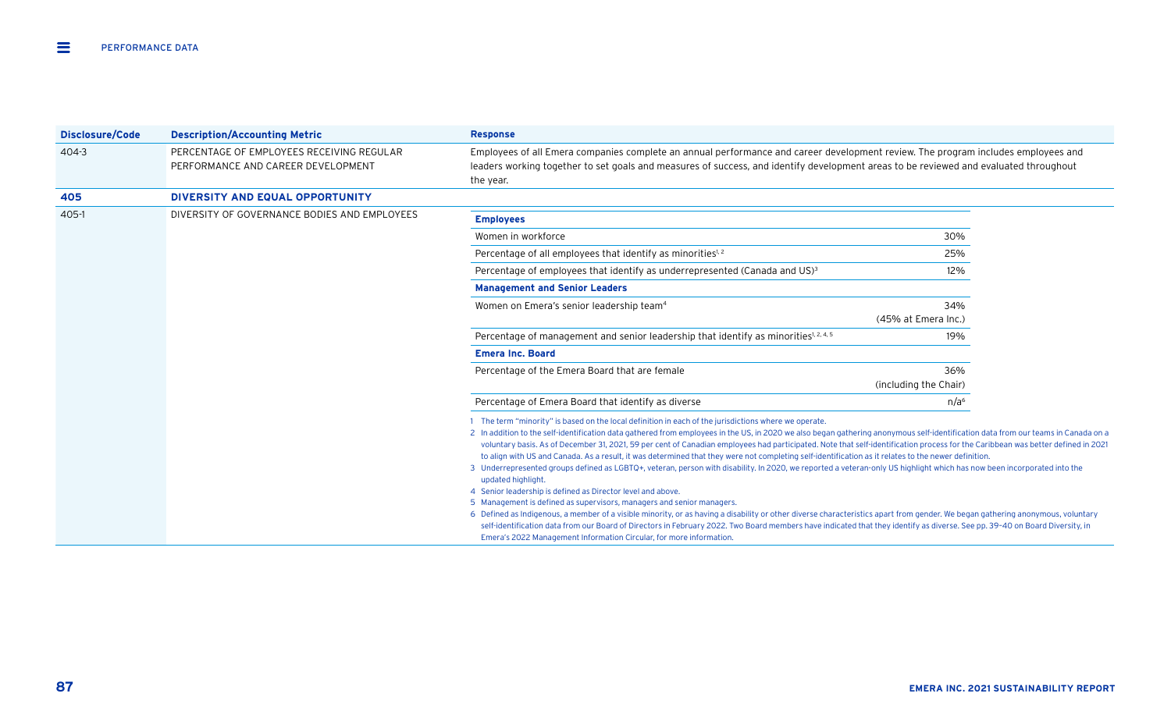| <b>Disclosure/Code</b> | <b>Description/Accounting Metric</b>                                            | <b>Response</b>                                                                                                                                                                                                                                                                                                                                                                                                                                                                                                                                                                                                                                                                                                                                                                                                                                                                                                                                                                                                                                                                                                                                                                                                                                                                                                                                                                                                       |                       |  |
|------------------------|---------------------------------------------------------------------------------|-----------------------------------------------------------------------------------------------------------------------------------------------------------------------------------------------------------------------------------------------------------------------------------------------------------------------------------------------------------------------------------------------------------------------------------------------------------------------------------------------------------------------------------------------------------------------------------------------------------------------------------------------------------------------------------------------------------------------------------------------------------------------------------------------------------------------------------------------------------------------------------------------------------------------------------------------------------------------------------------------------------------------------------------------------------------------------------------------------------------------------------------------------------------------------------------------------------------------------------------------------------------------------------------------------------------------------------------------------------------------------------------------------------------------|-----------------------|--|
| $404 - 3$              | PERCENTAGE OF EMPLOYEES RECEIVING REGULAR<br>PERFORMANCE AND CAREER DEVELOPMENT | Employees of all Emera companies complete an annual performance and career development review. The program includes employees and<br>leaders working together to set goals and measures of success, and identify development areas to be reviewed and evaluated throughout<br>the year.                                                                                                                                                                                                                                                                                                                                                                                                                                                                                                                                                                                                                                                                                                                                                                                                                                                                                                                                                                                                                                                                                                                               |                       |  |
| 405                    | DIVERSITY AND EQUAL OPPORTUNITY                                                 |                                                                                                                                                                                                                                                                                                                                                                                                                                                                                                                                                                                                                                                                                                                                                                                                                                                                                                                                                                                                                                                                                                                                                                                                                                                                                                                                                                                                                       |                       |  |
| 405-1                  | DIVERSITY OF GOVERNANCE BODIES AND EMPLOYEES                                    | <b>Employees</b>                                                                                                                                                                                                                                                                                                                                                                                                                                                                                                                                                                                                                                                                                                                                                                                                                                                                                                                                                                                                                                                                                                                                                                                                                                                                                                                                                                                                      |                       |  |
|                        |                                                                                 | Women in workforce                                                                                                                                                                                                                                                                                                                                                                                                                                                                                                                                                                                                                                                                                                                                                                                                                                                                                                                                                                                                                                                                                                                                                                                                                                                                                                                                                                                                    | 30%                   |  |
|                        |                                                                                 | Percentage of all employees that identify as minorities <sup>1,2</sup>                                                                                                                                                                                                                                                                                                                                                                                                                                                                                                                                                                                                                                                                                                                                                                                                                                                                                                                                                                                                                                                                                                                                                                                                                                                                                                                                                | 25%                   |  |
|                        |                                                                                 | Percentage of employees that identify as underrepresented (Canada and US) <sup>3</sup>                                                                                                                                                                                                                                                                                                                                                                                                                                                                                                                                                                                                                                                                                                                                                                                                                                                                                                                                                                                                                                                                                                                                                                                                                                                                                                                                | 12%                   |  |
|                        |                                                                                 | <b>Management and Senior Leaders</b>                                                                                                                                                                                                                                                                                                                                                                                                                                                                                                                                                                                                                                                                                                                                                                                                                                                                                                                                                                                                                                                                                                                                                                                                                                                                                                                                                                                  |                       |  |
|                        |                                                                                 | Women on Emera's senior leadership team <sup>4</sup>                                                                                                                                                                                                                                                                                                                                                                                                                                                                                                                                                                                                                                                                                                                                                                                                                                                                                                                                                                                                                                                                                                                                                                                                                                                                                                                                                                  | 34%                   |  |
|                        |                                                                                 |                                                                                                                                                                                                                                                                                                                                                                                                                                                                                                                                                                                                                                                                                                                                                                                                                                                                                                                                                                                                                                                                                                                                                                                                                                                                                                                                                                                                                       | (45% at Emera Inc.)   |  |
|                        |                                                                                 | Percentage of management and senior leadership that identify as minorities <sup>1, 2, 4, 5</sup>                                                                                                                                                                                                                                                                                                                                                                                                                                                                                                                                                                                                                                                                                                                                                                                                                                                                                                                                                                                                                                                                                                                                                                                                                                                                                                                      | 19%                   |  |
|                        |                                                                                 | <b>Emera Inc. Board</b>                                                                                                                                                                                                                                                                                                                                                                                                                                                                                                                                                                                                                                                                                                                                                                                                                                                                                                                                                                                                                                                                                                                                                                                                                                                                                                                                                                                               |                       |  |
|                        |                                                                                 | Percentage of the Emera Board that are female                                                                                                                                                                                                                                                                                                                                                                                                                                                                                                                                                                                                                                                                                                                                                                                                                                                                                                                                                                                                                                                                                                                                                                                                                                                                                                                                                                         | 36%                   |  |
|                        |                                                                                 |                                                                                                                                                                                                                                                                                                                                                                                                                                                                                                                                                                                                                                                                                                                                                                                                                                                                                                                                                                                                                                                                                                                                                                                                                                                                                                                                                                                                                       | (including the Chair) |  |
|                        |                                                                                 | Percentage of Emera Board that identify as diverse                                                                                                                                                                                                                                                                                                                                                                                                                                                                                                                                                                                                                                                                                                                                                                                                                                                                                                                                                                                                                                                                                                                                                                                                                                                                                                                                                                    | n/a <sup>6</sup>      |  |
|                        |                                                                                 | The term "minority" is based on the local definition in each of the jurisdictions where we operate.<br>2 In addition to the self-identification data gathered from employees in the US, in 2020 we also began gathering anonymous self-identification data from our teams in Canada on a<br>voluntary basis. As of December 31, 2021, 59 per cent of Canadian employees had participated. Note that self-identification process for the Caribbean was better defined in 2021<br>to align with US and Canada. As a result, it was determined that they were not completing self-identification as it relates to the newer definition.<br>3 Underrepresented groups defined as LGBTQ+, veteran, person with disability. In 2020, we reported a veteran-only US highlight which has now been incorporated into the<br>updated highlight.<br>4 Senior leadership is defined as Director level and above.<br>5 Management is defined as supervisors, managers and senior managers.<br>6 Defined as Indigenous, a member of a visible minority, or as having a disability or other diverse characteristics apart from gender. We began gathering anonymous, voluntary<br>self-identification data from our Board of Directors in February 2022. Two Board members have indicated that they identify as diverse. See pp. 39-40 on Board Diversity, in<br>Emera's 2022 Management Information Circular, for more information. |                       |  |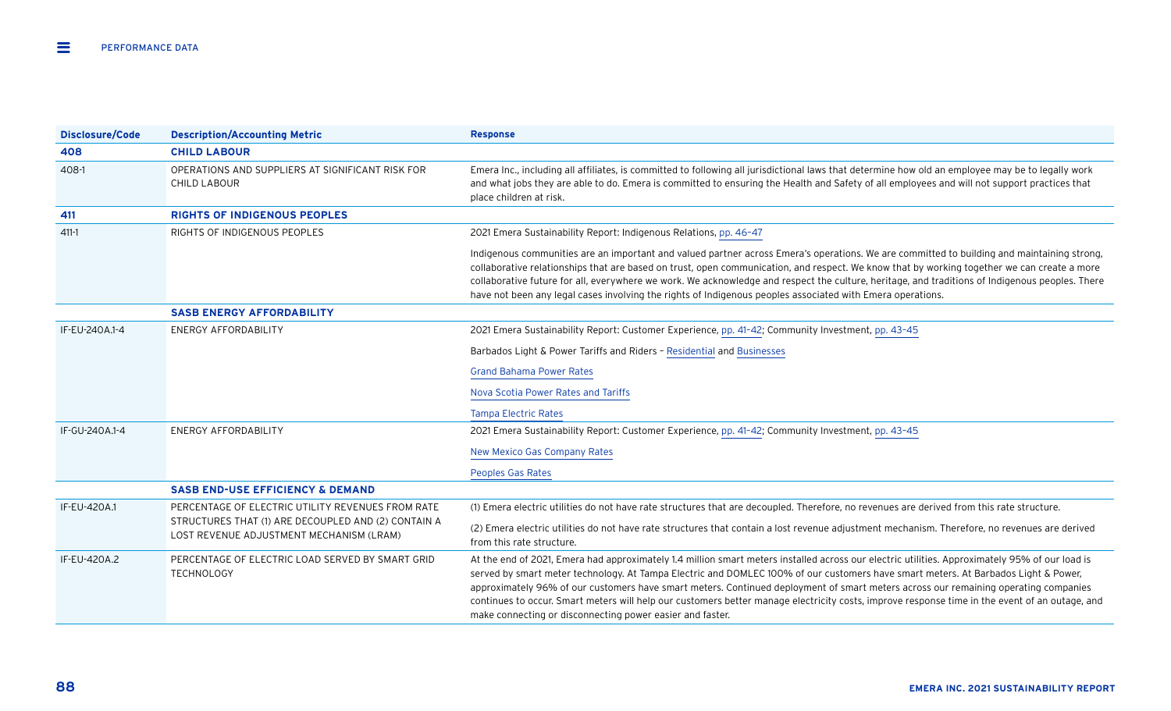| <b>Disclosure/Code</b> | <b>Description/Accounting Metric</b>                                                                                                                 | <b>Response</b>                                                                                                                                                                                                                                                                                                                                                                                                                                                                                                                                                                                                                            |
|------------------------|------------------------------------------------------------------------------------------------------------------------------------------------------|--------------------------------------------------------------------------------------------------------------------------------------------------------------------------------------------------------------------------------------------------------------------------------------------------------------------------------------------------------------------------------------------------------------------------------------------------------------------------------------------------------------------------------------------------------------------------------------------------------------------------------------------|
| 408                    | <b>CHILD LABOUR</b>                                                                                                                                  |                                                                                                                                                                                                                                                                                                                                                                                                                                                                                                                                                                                                                                            |
| 408-1                  | OPERATIONS AND SUPPLIERS AT SIGNIFICANT RISK FOR<br><b>CHILD LABOUR</b>                                                                              | Emera Inc., including all affiliates, is committed to following all jurisdictional laws that determine how old an employee may be to legally work<br>and what jobs they are able to do. Emera is committed to ensuring the Health and Safety of all employees and will not support practices that<br>place children at risk.                                                                                                                                                                                                                                                                                                               |
| 411                    | <b>RIGHTS OF INDIGENOUS PEOPLES</b>                                                                                                                  |                                                                                                                                                                                                                                                                                                                                                                                                                                                                                                                                                                                                                                            |
| $411 - 1$              | RIGHTS OF INDIGENOUS PEOPLES                                                                                                                         | 2021 Emera Sustainability Report: Indigenous Relations, pp. 46-47                                                                                                                                                                                                                                                                                                                                                                                                                                                                                                                                                                          |
|                        |                                                                                                                                                      | Indigenous communities are an important and valued partner across Emera's operations. We are committed to building and maintaining strong,<br>collaborative relationships that are based on trust, open communication, and respect. We know that by working together we can create a more<br>collaborative future for all, everywhere we work. We acknowledge and respect the culture, heritage, and traditions of Indigenous peoples. There<br>have not been any legal cases involving the rights of Indigenous peoples associated with Emera operations.                                                                                 |
|                        | <b>SASB ENERGY AFFORDABILITY</b>                                                                                                                     |                                                                                                                                                                                                                                                                                                                                                                                                                                                                                                                                                                                                                                            |
| IF-EU-240A.1-4         | <b>ENERGY AFFORDABILITY</b>                                                                                                                          | 2021 Emera Sustainability Report: Customer Experience, pp. 41-42; Community Investment, pp. 43-45                                                                                                                                                                                                                                                                                                                                                                                                                                                                                                                                          |
|                        |                                                                                                                                                      | Barbados Light & Power Tariffs and Riders - Residential and Businesses                                                                                                                                                                                                                                                                                                                                                                                                                                                                                                                                                                     |
|                        |                                                                                                                                                      | <b>Grand Bahama Power Rates</b>                                                                                                                                                                                                                                                                                                                                                                                                                                                                                                                                                                                                            |
|                        |                                                                                                                                                      | Nova Scotia Power Rates and Tariffs                                                                                                                                                                                                                                                                                                                                                                                                                                                                                                                                                                                                        |
|                        |                                                                                                                                                      | <b>Tampa Electric Rates</b>                                                                                                                                                                                                                                                                                                                                                                                                                                                                                                                                                                                                                |
| IF-GU-240A.1-4         | <b>ENERGY AFFORDABILITY</b>                                                                                                                          | 2021 Emera Sustainability Report: Customer Experience, pp. 41-42; Community Investment, pp. 43-45                                                                                                                                                                                                                                                                                                                                                                                                                                                                                                                                          |
|                        |                                                                                                                                                      | <b>New Mexico Gas Company Rates</b>                                                                                                                                                                                                                                                                                                                                                                                                                                                                                                                                                                                                        |
|                        |                                                                                                                                                      | Peoples Gas Rates                                                                                                                                                                                                                                                                                                                                                                                                                                                                                                                                                                                                                          |
|                        | <b>SASB END-USE EFFICIENCY &amp; DEMAND</b>                                                                                                          |                                                                                                                                                                                                                                                                                                                                                                                                                                                                                                                                                                                                                                            |
| IF-EU-420A.1           | PERCENTAGE OF ELECTRIC UTILITY REVENUES FROM RATE<br>STRUCTURES THAT (1) ARE DECOUPLED AND (2) CONTAIN A<br>LOST REVENUE ADJUSTMENT MECHANISM (LRAM) | (1) Emera electric utilities do not have rate structures that are decoupled. Therefore, no revenues are derived from this rate structure.                                                                                                                                                                                                                                                                                                                                                                                                                                                                                                  |
|                        |                                                                                                                                                      | (2) Emera electric utilities do not have rate structures that contain a lost revenue adjustment mechanism. Therefore, no revenues are derived<br>from this rate structure.                                                                                                                                                                                                                                                                                                                                                                                                                                                                 |
| IF-EU-420A.2           | PERCENTAGE OF ELECTRIC LOAD SERVED BY SMART GRID<br>TECHNOLOGY                                                                                       | At the end of 2021, Emera had approximately 1.4 million smart meters installed across our electric utilities. Approximately 95% of our load is<br>served by smart meter technology. At Tampa Electric and DOMLEC 100% of our customers have smart meters. At Barbados Light & Power,<br>approximately 96% of our customers have smart meters. Continued deployment of smart meters across our remaining operating companies<br>continues to occur. Smart meters will help our customers better manage electricity costs, improve response time in the event of an outage, and<br>make connecting or disconnecting power easier and faster. |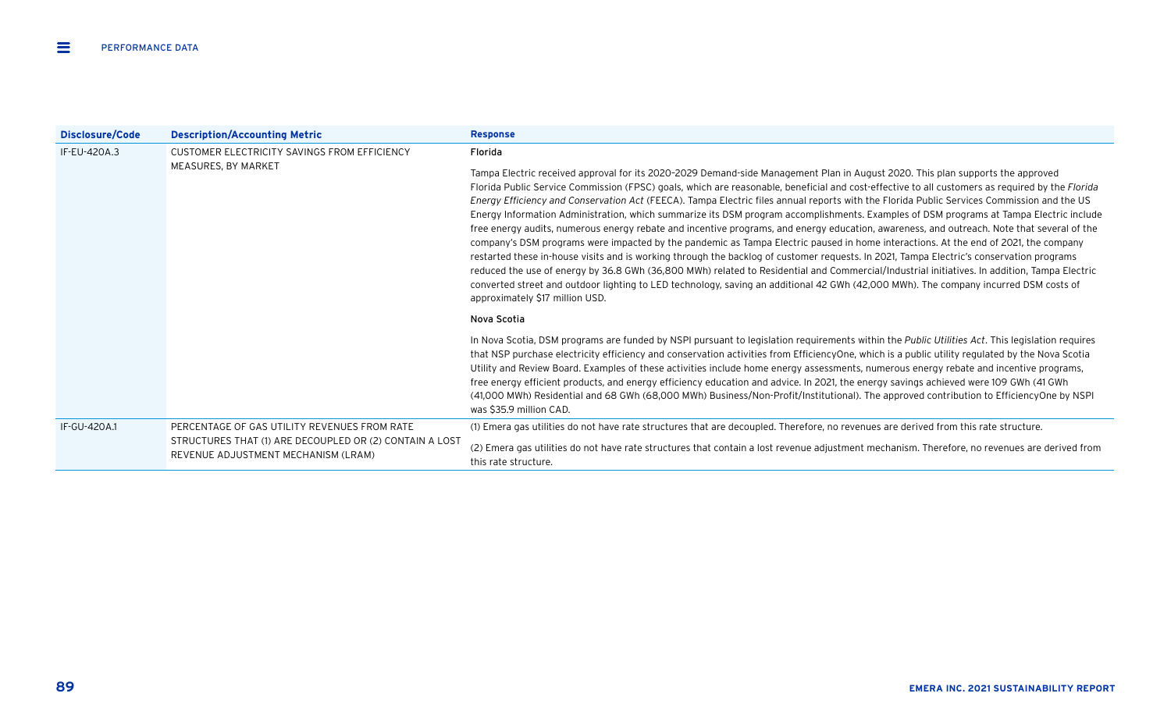| Disclosure/Code | <b>Description/Accounting Metric</b>                                                                                                           | <b>Response</b>                                                                                                                                                                                                                                                                                                                                                                                                                                                                                                                                                                                                                                                                                                                                                                                                                                                                                                                                                                                                                                                                                                                                                                                                                                                                                                                       |
|-----------------|------------------------------------------------------------------------------------------------------------------------------------------------|---------------------------------------------------------------------------------------------------------------------------------------------------------------------------------------------------------------------------------------------------------------------------------------------------------------------------------------------------------------------------------------------------------------------------------------------------------------------------------------------------------------------------------------------------------------------------------------------------------------------------------------------------------------------------------------------------------------------------------------------------------------------------------------------------------------------------------------------------------------------------------------------------------------------------------------------------------------------------------------------------------------------------------------------------------------------------------------------------------------------------------------------------------------------------------------------------------------------------------------------------------------------------------------------------------------------------------------|
| IF-EU-420A.3    | CUSTOMER ELECTRICITY SAVINGS FROM EFFICIENCY<br>MEASURES, BY MARKET                                                                            | Florida                                                                                                                                                                                                                                                                                                                                                                                                                                                                                                                                                                                                                                                                                                                                                                                                                                                                                                                                                                                                                                                                                                                                                                                                                                                                                                                               |
|                 |                                                                                                                                                | Tampa Electric received approval for its 2020-2029 Demand-side Management Plan in August 2020. This plan supports the approved<br>Florida Public Service Commission (FPSC) goals, which are reasonable, beneficial and cost-effective to all customers as required by the Florida<br>Energy Efficiency and Conservation Act (FEECA). Tampa Electric files annual reports with the Florida Public Services Commission and the US<br>Energy Information Administration, which summarize its DSM program accomplishments. Examples of DSM programs at Tampa Electric include<br>free energy audits, numerous energy rebate and incentive programs, and energy education, awareness, and outreach. Note that several of the<br>company's DSM programs were impacted by the pandemic as Tampa Electric paused in home interactions. At the end of 2021, the company<br>restarted these in-house visits and is working through the backlog of customer requests. In 2021, Tampa Electric's conservation programs<br>reduced the use of energy by 36.8 GWh (36,800 MWh) related to Residential and Commercial/Industrial initiatives. In addition, Tampa Electric<br>converted street and outdoor lighting to LED technology, saving an additional 42 GWh (42,000 MWh). The company incurred DSM costs of<br>approximately \$17 million USD. |
|                 |                                                                                                                                                | Nova Scotia                                                                                                                                                                                                                                                                                                                                                                                                                                                                                                                                                                                                                                                                                                                                                                                                                                                                                                                                                                                                                                                                                                                                                                                                                                                                                                                           |
|                 |                                                                                                                                                | In Nova Scotia, DSM programs are funded by NSPI pursuant to legislation requirements within the Public Utilities Act. This legislation requires<br>that NSP purchase electricity efficiency and conservation activities from EfficiencyOne, which is a public utility regulated by the Nova Scotia<br>Utility and Review Board. Examples of these activities include home energy assessments, numerous energy rebate and incentive programs,<br>free energy efficient products, and energy efficiency education and advice. In 2021, the energy savings achieved were 109 GWh (41 GWh<br>(41,000 MWh) Residential and 68 GWh (68,000 MWh) Business/Non-Profit/Institutional). The approved contribution to EfficiencyOne by NSPI<br>was \$35.9 million CAD.                                                                                                                                                                                                                                                                                                                                                                                                                                                                                                                                                                           |
| IF-GU-420A.1    | PERCENTAGE OF GAS UTILITY REVENUES FROM RATE<br>STRUCTURES THAT (1) ARE DECOUPLED OR (2) CONTAIN A LOST<br>REVENUE ADJUSTMENT MECHANISM (LRAM) | (1) Emera gas utilities do not have rate structures that are decoupled. Therefore, no revenues are derived from this rate structure.                                                                                                                                                                                                                                                                                                                                                                                                                                                                                                                                                                                                                                                                                                                                                                                                                                                                                                                                                                                                                                                                                                                                                                                                  |
|                 |                                                                                                                                                | (2) Emera gas utilities do not have rate structures that contain a lost revenue adjustment mechanism. Therefore, no revenues are derived from<br>this rate structure.                                                                                                                                                                                                                                                                                                                                                                                                                                                                                                                                                                                                                                                                                                                                                                                                                                                                                                                                                                                                                                                                                                                                                                 |